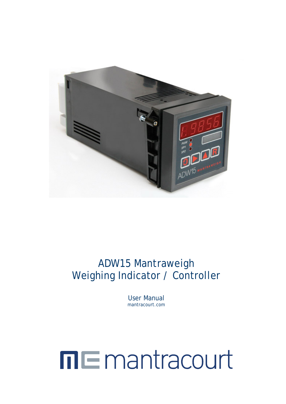

## ADW15 Mantraweigh Weighing Indicator / Controller

User Manual mantracourt.com

# **ME** mantracourt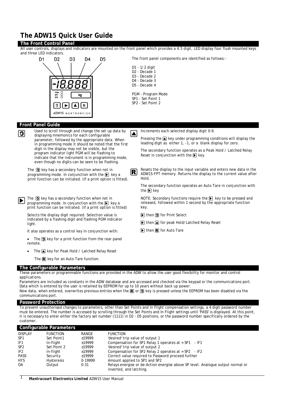## <span id="page-1-0"></span>**The ADW15 Quick User Guide**

#### **The Front Control Panel**

**Front Panel Guide**

All user controls, displays and indicators are mounted on the front panel which provides a 4.5 digit, LED display four flush mounted keys and three LED indicators.



The front panel components are identified as follows:- D<sub>5</sub> D1 - 1/2 digit D2 - Decade 1 D3 - Decade 2 D4 - Decade 3 D5 - Decade 4 PGM - Program Mode SP1 - Set Point 1 SP2 - Set Point 2 Used to scroll through and change the set up data by displaying memonics for each configurable  $\sum$  Increments each selected display digit 0-9. displaying mnemonics for each configurable Pressing the  $\triangle$  key under programming conditions will display the parameter, followed by the appropriate data. When leading digit as either 1, -1, or a blank display for zero. in programming mode it should be noted that the first digit in the display may not be visible, but the

The secondary function operates as a Peak Hold / Latched Relay Reset in conjunction with the  $\blacktriangleright$  key.

The secondary function operates an Auto Tare in conjunction with

NOTE: Secondary functions require the  $\blacktriangleright$  key to be pressed and released, followed within 1 second by the appropriate function

The  $\textcircled{3}$  key has a secondary function when not in programming mode. In conjunction with the  $\blacktriangleright$  key a print function can be initiated. (If a print option is fitted). Resets the display to the input variable and enters new data in the ADW15-FPT memory. Returns the display to the current value after Hold.

 $\bigodot$  The  $\bigcircled{a}$  key has a secondary function when not in programming mode. In conjunction with the  $\bigcirc$  key a print function can be initiated. (If a print option is fitted)

program indicator light PGM will be flashing to indicate that the instrument is in programming mode, even though no digits can be seen to be flashing.

Selects the display digit required. Selection value is indicated by a flashing digit and flashing PGM indicator light.

It also operates as a control key in conjunction with:

The  $\textcircled{\textbf{1}}$  key for a print function from the rear panel remote.

• The  $\triangle$  key for Peak Hold / Latched Relay Reset

The  $\mathbb R$  key for an Auto Tare function.

#### **The Configurable Parameters**

These parameters or programmable functions are provided in the ADW to allow the user good flexibility for monitor and control applications.

Parameters are included as constants in the ADW database and are accessed and checked via the keypad or the communications port. Data which is entered by the user is retained by EEPROM for up to 10 years without back up power. New data, when entered, overwrites previous entries when the  $\mathbb R$  or  $\overline{\mathfrak{D}}$  key is pressed unless the EEPROM has been disabled via the communications port.

the  $\mathbf{E}$  key

 $\boxed{\blacktriangleright}$  then  $\boxed{\mathbf{3}}$  for Print Select

 $\triangleright$  then  $\triangleright$  for Auto Tare

 $\triangleright$  then  $\blacktriangle$  for peak Hold/Latched Relay Reset

key.

#### **Password Protection**

To prevent unauthorised changes to parameters, other than Set Points and In Flight compensation settings, a 4 digit password number must be entered. The number is accessed by scrolling through the Set Points and In Flight settings until 'PASS' is displayed. At this point, it is necessary to enter either the factory set number (1111) in D2 - D5 positions, or the password number specifically ordered by the customer.

|                 | Configurable Parameters |          |                                                                                                            |
|-----------------|-------------------------|----------|------------------------------------------------------------------------------------------------------------|
| <b>DISPLAY</b>  | <b>FUNCTION</b>         | RANGE    | <b>FUNCTION</b>                                                                                            |
| SP <sub>1</sub> | Set Point1              | ±19999   | 'desired' trip value of output 1                                                                           |
| IF <sub>1</sub> | In-flight               | ±19999   | Compensation for SP1 Relay 1 operates at = $SP1 - IF1$                                                     |
| SP <sub>2</sub> | Set Point 2             | ±19999   | 'desired' trip value of output 2                                                                           |
| IF <sub>2</sub> | In-flight               | ±19999   | Compensation for SP2 Relay 2 operates at = $SP2 - IF2$                                                     |
| <b>PASS</b>     | Security                | ±19999   | Correct value required to Password proceed further                                                         |
| <b>HYS</b>      | <b>Hysteresis</b>       | 0-19999  | Amount applied to SP1 and SP2                                                                              |
| 0A              | Output                  | $0 - 31$ | Relays energise or de-Action energise above SP level. Analogue output normal or<br>inverted, and latching. |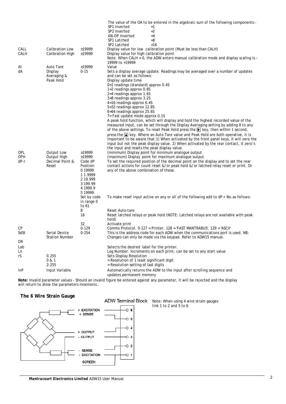|              |                                        |                                                                                               | The value of the OA to be entered in the algebraic sum of the following components:-<br>SP1 Inverted<br>$=1$<br>SP <sub>2</sub> Inverted<br>$=2$<br>AN-OP Inverted<br>$=4$<br>SP1 Latched<br>$=8$<br>$=16$<br>SP2 Latched                                                          |
|--------------|----------------------------------------|-----------------------------------------------------------------------------------------------|------------------------------------------------------------------------------------------------------------------------------------------------------------------------------------------------------------------------------------------------------------------------------------|
| CALL<br>CALH | Calibration Low<br>Calibration High    | ±19999<br>$\pm 19999$                                                                         | Display value for low calibration point (Must be less than CALH)<br>Display value for high calibration point                                                                                                                                                                       |
|              |                                        |                                                                                               | Note: When CALH = $0$ , the ADW enters manual calibration mode and display scaling is -<br>19999 to +19999                                                                                                                                                                         |
| At           | Auto Tare                              | ±19999                                                                                        | Value                                                                                                                                                                                                                                                                              |
| dA           | Display<br>Averaging &<br>Peak Hold    | $0 - 15$                                                                                      | Sets a display average update. Readings may be averaged over a number of updates<br>and can be set as follows:<br>Display update time<br>0=1 readings (standard) approx 0.4S                                                                                                       |
|              |                                        |                                                                                               | 1=2 readings approx 0.8S                                                                                                                                                                                                                                                           |
|              |                                        |                                                                                               | 2=4 readings approx 1.6S                                                                                                                                                                                                                                                           |
|              |                                        |                                                                                               | 3=8 readings approx 3.2S<br>4=16 readings approx 6.4S                                                                                                                                                                                                                              |
|              |                                        |                                                                                               | 5=32 readings approx 12.8S                                                                                                                                                                                                                                                         |
|              |                                        |                                                                                               | 6=64 readings approx 25.6S                                                                                                                                                                                                                                                         |
|              |                                        |                                                                                               | 7= Fast update mode approx 0.1S                                                                                                                                                                                                                                                    |
|              |                                        |                                                                                               | A peak hold function, which will display and hold the highest recorded value of the<br>measured input, can be set through the Display Averaging setting by adding 8 to any                                                                                                         |
|              |                                        |                                                                                               | of the above settings. To reset Peak Hold press the [b] key, then within 1 second,                                                                                                                                                                                                 |
|              |                                        |                                                                                               | press the $\blacksquare$ key. Where an Auto Tare value and Peak Hold are both operative, it is<br>important to be aware that:1) When activated by the front panel keys, it will zero the<br>input but not the peak display value. 2) When activated by the rear contact, it zero's |
| OPL          | Output Low                             | ±19999                                                                                        | the input and resets the peak display value.                                                                                                                                                                                                                                       |
| OPH          | Output High                            | ±19999                                                                                        | (minimum) Display point for minimum analogue output<br>(maximum) Display point for maximum analogue output                                                                                                                                                                         |
| dP-r         | Decimal Point &<br>Reset               | Code dP<br>Position<br>0 19999                                                                | To set the required position of the decimal point on the display and to set the rear<br>contact actions for count reset &/or peak hold &/or latched relay reset or print. Or<br>any of the above combination of these.                                                             |
|              |                                        | 11.9999<br>2 19.999<br>3 199.99<br>4 1999.9<br>5 19999.<br>Set by code<br>in range 0<br>to 61 | To make reset input active on any or all of the following add to dP-r No.as follows:                                                                                                                                                                                               |
|              |                                        | 8                                                                                             | Reset Auto-tare                                                                                                                                                                                                                                                                    |
|              |                                        | 16<br>32                                                                                      | Reset latched relays or peak hold (NOTE: Latched relays are not available with peak<br>hold)<br>Activate print                                                                                                                                                                     |
| СP           |                                        | $0 - 129$                                                                                     | Comms Protocol. 0-127 = Printer. 128 = 'FAST MANTRABUS'. 129 = 'ASCII'                                                                                                                                                                                                             |
| SdSt         | Serial Device<br><b>Station Number</b> | $0 - 254$                                                                                     | This is the address code for each ADW when the communications port is used. NB:<br>Changes can only be made via the keypad. Refer to ADW15 manual.                                                                                                                                 |
| OR           |                                        |                                                                                               |                                                                                                                                                                                                                                                                                    |
| Lab          |                                        |                                                                                               | Selects the desired label for the printer.                                                                                                                                                                                                                                         |
| Ln           |                                        |                                                                                               | Log Number. Increments on each print, can be set to any start value                                                                                                                                                                                                                |
| rS           | 0.255<br>0 & 1<br>$2 - 255$            |                                                                                               | Sets Display Resolution<br>$=$ Resolution of 1 least significant digit<br>= Resolution setting of last digits                                                                                                                                                                      |
| InP          | Input Variable                         |                                                                                               | Automatically returns the ADW to the input after scrolling sequence and<br>updates permanent memory                                                                                                                                                                                |

**Note:** Invalid parameter values - Should an invalid figure be entered against any parameter, it will be rejected and the display will return to show the parameters mnemonic.

#### **The 6 Wire Strain Gauge**



Note: When using 4 wire strain gauges link 1 to 2 and 5 to 6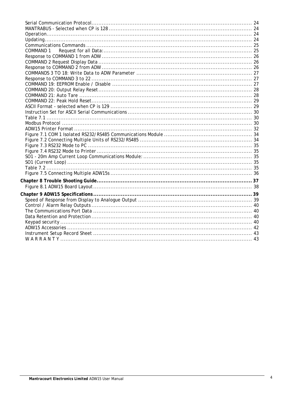| COMMAND 1 |  |
|-----------|--|
|           |  |
|           |  |
|           |  |
|           |  |
|           |  |
|           |  |
|           |  |
|           |  |
|           |  |
|           |  |
|           |  |
|           |  |
|           |  |
|           |  |
|           |  |
|           |  |
|           |  |
|           |  |
|           |  |
|           |  |
|           |  |
|           |  |
|           |  |
|           |  |
|           |  |
|           |  |
|           |  |
|           |  |
|           |  |
|           |  |
|           |  |
|           |  |
|           |  |
|           |  |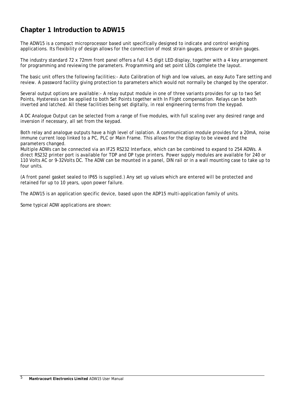## <span id="page-5-0"></span>**Chapter 1 Introduction to ADW15**

The ADW15 is a compact microprocessor based unit specifically designed to indicate and control weighing applications. Its flexibility of design allows for the connection of most strain gauges, pressure or strain gauges.

The industry standard 72 x 72mm front panel offers a full 4.5 digit LED display, together with a 4 key arrangement for programming and reviewing the parameters. Programming and set point LEDs complete the layout.

The basic unit offers the following facilities:- Auto Calibration of high and low values, an easy Auto Tare setting and review. A password facility giving protection to parameters which would not normally be changed by the operator.

Several output options are available:- A relay output module in one of three variants provides for up to two Set Points, Hysteresis can be applied to both Set Points together with In Flight compensation. Relays can be both inverted and latched. All these facilities being set digitally, in real engineering terms from the keypad.

A DC Analogue Output can be selected from a range of five modules, with full scaling over any desired range and inversion if necessary, all set from the keypad.

Both relay and analogue outputs have a high level of isolation. A communication module provides for a 20mA, noise immune current loop linked to a PC, PLC or Main Frame. This allows for the display to be viewed and the parameters changed.

Multiple ADWs can be connected via an IF25 RS232 Interface, which can be combined to expand to 254 ADWs. A direct RS232 printer port is available for TDP and DP type printers. Power supply modules are available for 240 or 110 Volts AC or 9-32Volts DC. The ADW can be mounted in a panel, DIN rail or in a wall mounting case to take up to four units.

(A front panel gasket sealed to IP65 is supplied.) Any set up values which are entered will be protected and retained for up to 10 years, upon power failure.

The ADW15 is an application specific device, based upon the ADP15 multi-application family of units.

Some typical ADW applications are shown: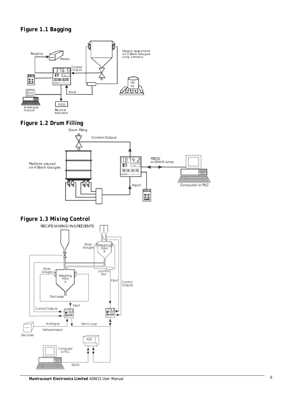## <span id="page-6-0"></span>*Figure 1.1 Bagging*



# <span id="page-6-1"></span>*Figure 1.2 Drum Filling*



<span id="page-6-2"></span>*Figure 1.3 Mixing Control*

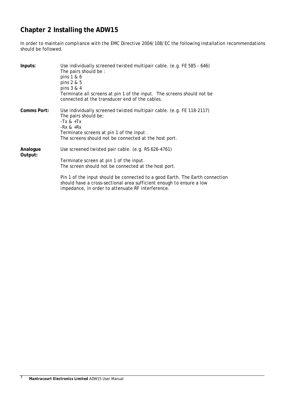## <span id="page-7-0"></span>**Chapter 2 Installing the ADW15**

In order to maintain compliance with the EMC Directive 2004/108/EC the following installation recommendations should be followed.

| Inputs:             | Use individually screened twisted multipair cable. (e.g. FE 585 - 646)<br>The pairs should be:<br>pins 1 & 6<br>pins 2 & 5<br>pins 3 & 4<br>Terminate all screens at pin 1 of the input. The screens should not be<br>connected at the transducer end of the cables.                                                                                                |
|---------------------|---------------------------------------------------------------------------------------------------------------------------------------------------------------------------------------------------------------------------------------------------------------------------------------------------------------------------------------------------------------------|
| Comms Port:         | Use individually screened twisted multipair cable. (e.g. FE 118-2117)<br>The pairs should be:<br>$-Tx \& +Tx$<br>-Rx & $+$ Rx<br>Terminate screens at pin 1 of the input.<br>The screens should not be connected at the host port.                                                                                                                                  |
| Analogue<br>Output: | Use screened twisted pair cable. (e.g. RS 626-4761)<br>Terminate screen at pin 1 of the input.<br>The screen should not be connected at the host port.<br>Pin 1 of the input should be connected to a good Earth. The Earth connection<br>should have a cross-sectional area sufficient enough to ensure a low<br>impedance, in order to attenuate RF interference. |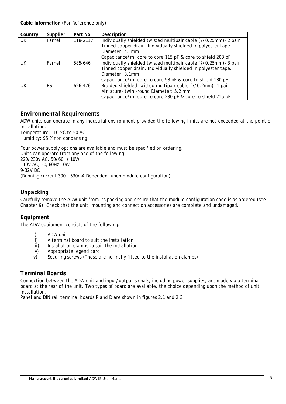| Country | Supplier  | Part No  | Description                                                      |  |  |  |  |
|---------|-----------|----------|------------------------------------------------------------------|--|--|--|--|
| UK.     | Farnell   | 118-2117 | Individually shielded twisted multipair cable (7/0.25mm)- 2 pair |  |  |  |  |
|         |           |          | Tinned copper drain. Individually shielded in polyester tape.    |  |  |  |  |
|         |           |          | Diameter: 4.1mm                                                  |  |  |  |  |
|         |           |          | Capacitance/m: core to core 115 pF & core to shield 203 pF       |  |  |  |  |
| UK      | Farnell   | 585-646  | Individually shielded twisted multipair cable (7/0.25mm)- 3 pair |  |  |  |  |
|         |           |          | Tinned copper drain. Individually shielded in polyester tape.    |  |  |  |  |
|         |           |          | Diameter: 8.1mm                                                  |  |  |  |  |
|         |           |          | Capacitance/m: core to core 98 pF & core to shield 180 pF        |  |  |  |  |
| UK      | <b>RS</b> | 626-4761 | Braided shielded twisted multipair cable (7/0.2mm)- 1 pair       |  |  |  |  |
|         |           |          | Miniature- twin -round Diameter: 5.2 mm                          |  |  |  |  |
|         |           |          | Capacitance/m: core to core 230 pF & core to shield 215 pF       |  |  |  |  |

## <span id="page-8-0"></span>*Environmental Requirements*

ADW units can operate in any industrial environment provided the following limits are not exceeded at the point of installation:

Temperature: -10 ºC to 50 ºC Humidity: 95 % non condensing

Four power supply options are available and must be specified on ordering. Units can operate from any one of the following 220/230v AC, 50/60Hz 10W 110V AC, 50/60Hz 10W 9-32V DC (Running current 300 - 530mA Dependent upon module configuration)

## <span id="page-8-1"></span>*Unpacking*

Carefully remove the ADW unit from its packing and ensure that the module configuration code is as ordered (see Chapter 9). Check that the unit, mounting and connection accessories are complete and undamaged.

## <span id="page-8-2"></span>*Equipment*

The ADW equipment consists of the following:

- i) ADW unit<br>ii) A termina
- A terminal board to suit the installation
- iii) Installation clamps to suit the installation
- iv) Appropriate legend card
- v) Securing screws (These are normally fitted to the installation clamps)

## <span id="page-8-3"></span>*Terminal Boards*

Connection between the ADW unit and input/output signals, including power supplies, are made via a terminal board at the rear of the unit. Two types of board are available, the choice depending upon the method of unit installation.

Panel and DIN rail terminal boards P and D are shown in figures 2.1 and 2.3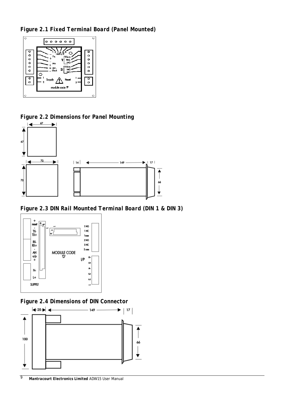<span id="page-9-0"></span>*Figure 2.1 Fixed Terminal Board (Panel Mounted)*



<span id="page-9-1"></span>*Figure 2.2 Dimensions for Panel Mounting*



<span id="page-9-2"></span>*Figure 2.3 DIN Rail Mounted Terminal Board (DIN 1 & DIN 3)*



<span id="page-9-3"></span>*Figure 2.4 Dimensions of DIN Connector*

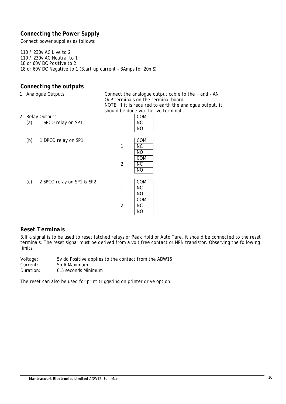## <span id="page-10-0"></span>*Connecting the Power Supply*

Connect power supplies as follows:

110 / 230v AC Live to 2 110 / 230v AC Neutral to 1 18 or 60V DC Positive to 2 18 or 60V DC Negative to 1 (Start up current - 3Amps for 20mS)

## <span id="page-10-1"></span>*Connecting the outputs*

1 Analogue Outputs Connect the analogue output cable to the + and - AN O/P terminals on the terminal board. NOTE: If it is required to earth the analogue output, it should be done via the -ve terminal.<br> $\boxed{\text{COM}}$ 

- 2 Relay Outputs (a)  $1$  SPCO relay on SP1  $1$  NC
	- (b) 1 DPCO relay on SP1 1

|   | COM       |
|---|-----------|
|   | <b>NC</b> |
|   | NO        |
|   | COM       |
| 2 | <b>NC</b> |
|   | <b>NO</b> |
|   |           |

NO

 $(c)$  2 SPCO relay on SP1 & SP2

|   | COM |
|---|-----|
|   | ΝC  |
|   | NΟ  |
|   | COM |
| 2 | ΝC  |
|   | NΟ  |

## <span id="page-10-2"></span>*Reset Terminals*

3.If a signal is to be used to reset latched relays or Peak Hold or Auto Tare, it should be connected to the reset terminals. The reset signal must be derived from a volt free contact or NPN transistor. Observing the following limits.

Voltage: Current: Duration: 5v dc Positive applies to the contact from the ADW15 5mA Maximum 0.5 seconds Minimum

The reset can also be used for print triggering on printer drive option.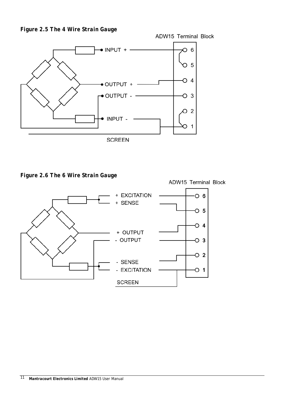<span id="page-11-0"></span>



<span id="page-11-1"></span>*Figure 2.6 The 6 Wire Strain Gauge*



ADW15 Terminal Block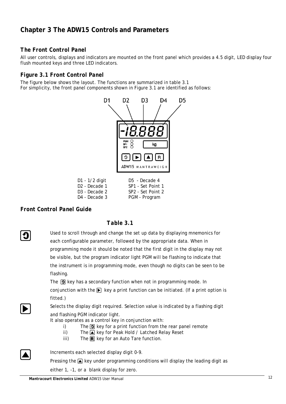## <span id="page-12-0"></span>**Chapter 3 The ADW15 Controls and Parameters**

## <span id="page-12-1"></span>*The Front Control Panel*

All user controls, displays and indicators are mounted on the front panel which provides a 4.5 digit, LED display four flush mounted keys and three LED indicators.

## <span id="page-12-2"></span>*Figure 3.1 Front Control Panel*

The figure below shows the layout. The functions are summarized in table 3.1 For simplicity, the front panel components shown in Figure 3.1 are identified as follows:



## <span id="page-12-3"></span>*Front Control Panel Guide*

## <span id="page-12-4"></span>*Table 3.1*

Used to scroll through and change the set up data by displaying mnemonics for each configurable parameter, followed by the appropriate data. When in programming mode it should be noted that the first digit in the display may not be visible, but the program indicator light PGM will be flashing to indicate that the instrument is in programming mode, even though no digits can be seen to be flashing.

> The  $\Box$  key has a secondary function when not in programming mode. In conjunction with the  $\blacktriangleright$  key a print function can be initiated. (If a print option is fitted.)

Selects the display digit required. Selection value is indicated by a flashing digit and flashing PGM indicator light.

It also operates as a control key in conjunction with:

- i) The  $\Omega$  key for a print function from the rear panel remote
- ii) The  $\Box$  key for Peak Hold / Latched Relay Reset
- iii) The  $\mathbb R$  key for an Auto Tare function.



Increments each selected display digit 0-9.

Pressing the  $\blacksquare$  key under programming conditions will display the leading digit as

either 1, -1, or a blank display for zero.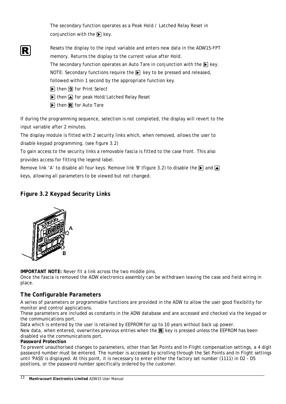The secondary function operates as a Peak Hold / Latched Relay Reset in conjunction with the  $\blacktriangleright$  key.

- Resets the display to the input variable and enters new data in the ADW15-FPT memory. Returns the display to the current value after Hold. The secondary function operates an Auto Tare in conjunction with the  $\blacktriangleright$  key. NOTE: Secondary functions require the  $\blacktriangleright$  key to be pressed and released,
	- followed within 1 second by the appropriate function key.
	- $\triangleright$  then  $\triangleright$  for Print Select
	- $\triangleright$  then  $\triangleright$  for peak Hold/Latched Relay Reset
	- $\triangleright$  then  $\triangleright$  for Auto Tare

If during the programming sequence, selection is not completed, the display will revert to the input variable after 2 minutes.

The display module is fitted with 2 security links which, when removed, allows the user to disable keypad programming. (see figure 3.2)

To gain access to the security links a removable fascia is fitted to the case front. This also provides access for fitting the legend label.

Remove link 'A' to disable all four keys. Remove link 'B' (figure 3.2) to disable the  $\lceil\blacktriangleright\rceil$  and  $\lceil\blacktriangleleft\rceil$ keys, allowing all parameters to be viewed but not changed.

## <span id="page-13-0"></span>*Figure 3.2 Keypad Security Links*



**IMPORTANT NOTE:** Never fit a link across the two middle pins.

Once the fascia is removed the ADW electronics assembly can be withdrawn leaving the case and field wiring in place.

## <span id="page-13-1"></span>*The Configurable Parameters*

A series of parameters or programmable functions are provided in the ADW to allow the user good flexibility for monitor and control applications.

These parameters are included as constants in the ADW database and are accessed and checked via the keypad or the communications port.

Data which is entered by the user is retained by EEPROM for up to 10 years without back up power.

New data, when entered, overwrites previous entries when the  $\mathbb{R}$  key is pressed unless the EEPROM has been disabled via the communications port.

## **Password Protection**

To prevent unauthorised changes to parameters, other than Set Points and In-Flight compensation settings, a 4 digit password number must be entered. The number is accessed by scrolling through the Set Points and In Flight settings until 'PASS' is displayed. At this point, it is necessary to enter either the factory set number (1111) in D2 - D5 positions, or the password number specifically ordered by the customer.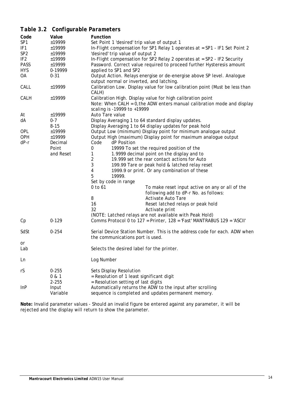## <span id="page-14-0"></span>*Table 3.2 Configurable Parameters*

| Code            | Value     | Function                                                                                                                                 |
|-----------------|-----------|------------------------------------------------------------------------------------------------------------------------------------------|
| SP <sub>1</sub> | ±19999    | Set Point 1 'desired' trip value of output 1                                                                                             |
| IF <sub>1</sub> | ±19999    | In-Flight compensation for SP1 Relay 1 operates at = SP1 - IF1 Set Point 2                                                               |
| SP <sub>2</sub> | ±19999    | 'desired' trip value of output 2                                                                                                         |
| IF <sub>2</sub> | ±19999    | In-Flight compensation for SP2 Relay 2 operates at = SP2 - IF2 Security                                                                  |
| <b>PASS</b>     | ±19999    | Password. Correct value required to proceed further Hysteresis amount                                                                    |
| <b>HYS</b>      | 0-19999   | applied to SP1 and SP2                                                                                                                   |
| OA              | $0 - 31$  | Output Action. Relays energise or de-energise above SP level. Analogue<br>output normal or inverted, and latching.                       |
| CALL            | ±19999    | Calibration Low. Display value for low calibration point (Must be less than<br>CALH)                                                     |
| CALH            | ±19999    | Calibration High. Display value for high calibration point<br>Note: When CALH = $0$ , the ADW enters manual calibration mode and display |
|                 |           | scaling is -19999 to +19999                                                                                                              |
| At              | ±19999    | Auto Tare value                                                                                                                          |
| dA              | $0 - 7$   | Display Averaging 1 to 64 standard display updates.                                                                                      |
|                 | $8 - 15$  | Display Averaging 1 to 64 display updates for peak hold                                                                                  |
| <b>OPL</b>      | ±19999    | Output Low (minimum) Display point for minimum analogue output                                                                           |
| OPH             | ±19999    | Output High (maximum) Display point for maximum analogue output                                                                          |
| $dP-r$          | Decimal   | Code<br>dP Position                                                                                                                      |
|                 | Point     | 19999 To set the required position of the<br>0                                                                                           |
|                 | and Reset | 1.9999 decimal point on the display and to<br>1                                                                                          |
|                 |           | $\overline{2}$<br>19.999 set the rear contact actions for Auto                                                                           |
|                 |           | 3<br>199.99 Tare or peak hold & latched relay reset                                                                                      |
|                 |           | 4<br>1999.9 or print. Or any combination of these                                                                                        |
|                 |           | 5<br>19999.                                                                                                                              |
|                 |           | Set by code in range                                                                                                                     |
|                 |           | 0 to 61<br>To make reset input active on any or all of the                                                                               |
|                 |           | following add to dP-r No. as follows:                                                                                                    |
|                 |           | 8<br>Activate Auto Tare                                                                                                                  |
|                 |           | 16<br>Reset latched relays or peak hold                                                                                                  |
|                 |           | 32<br>Activate print                                                                                                                     |
|                 |           | (NOTE: Latched relays are not available with Peak Hold)                                                                                  |
| Cp              | $0 - 129$ | Comms Protocol 0 to 127 = Printer, 128 = 'Fast' MANTRABUS 129 = 'ASCII'                                                                  |
| SdSt            | $0 - 254$ | Serial Device Station Number. This is the address code for each. ADW when                                                                |
|                 |           | the communications port is used.                                                                                                         |
| or<br>Lab       |           | Selects the desired label for the printer.                                                                                               |
| Ln              |           | Log Number                                                                                                                               |
| rS              | $0 - 255$ | Sets Display Resolution                                                                                                                  |
|                 | 0 & 1     | = Resolution of 1 least significant digit                                                                                                |
|                 | $2 - 255$ | = Resolution setting of last digits                                                                                                      |
| InP             | Input     | Automatically returns the ADW to the input after scrolling                                                                               |
|                 | Variable  | sequence is completed and updates permanent memory.                                                                                      |

**Note:** Invalid parameter values - Should an invalid figure be entered against any parameter, it will be rejected and the display will return to show the parameter.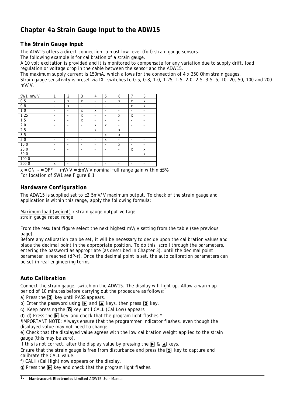## <span id="page-15-0"></span>**Chapter 4a Strain Gauge Input to the ADW15**

## <span id="page-15-1"></span>*The Strain Gauge Input*

The ADW15 offers a direct connection to most low level (foil) strain gauge sensors.

The following example is for calibration of a strain gauge.

A 10 volt excitation is provided and it is monitored to compensate for any variation due to supply drift, load regulation or voltage drop in the cable between the sensor and the ADW15.

The maximum supply current is 150mA, which allows for the connection of 4 x 350 Ohm strain gauges.

Strain gauge sensitivity is preset via DIL switches to 0.5, 0.8, 1.0, 1.25, 1.5, 2.0, 2.5, 3.5, 5, 10, 20, 50, 100 and 200 mV/V.

| SW1<br>mV/V | 1 | $\overline{2}$           | 3                        | 4                            | 5                        | 6                            | $\overline{7}$           | 8 |
|-------------|---|--------------------------|--------------------------|------------------------------|--------------------------|------------------------------|--------------------------|---|
| 0.5         | ٠ | X                        | X                        | $\overline{\phantom{a}}$     | $\overline{\phantom{a}}$ | X                            | X                        | X |
| 0.8         | ٠ | X                        | ٠                        | $\overline{\phantom{0}}$     | $\overline{\phantom{a}}$ | $\qquad \qquad \blacksquare$ | X                        | x |
| 1.0         | ٠ | $\overline{\phantom{a}}$ | X                        | X                            | $\overline{\phantom{a}}$ | -                            | -                        | - |
| 1.25        |   | -                        | x                        | $\qquad \qquad \blacksquare$ | -                        | x                            | x                        | ٠ |
| 1.5         | - | $\overline{\phantom{a}}$ | x                        | $\overline{\phantom{a}}$     | $\overline{\phantom{a}}$ | -                            | -                        | - |
| 2.0         | - | $\overline{\phantom{a}}$ | $\overline{\phantom{a}}$ | X                            | x                        | $\qquad \qquad \blacksquare$ | $\overline{\phantom{0}}$ | ٠ |
| 2.5         | ٠ | $\overline{\phantom{a}}$ | $\overline{\phantom{a}}$ | X                            | $\overline{\phantom{a}}$ | x                            | -                        | ٠ |
| 3.5         | ٠ | $\overline{\phantom{a}}$ | $\overline{\phantom{a}}$ | $\overline{\phantom{a}}$     | x                        | x                            | $\overline{\phantom{a}}$ | - |
| 5.0         | - | $\overline{\phantom{a}}$ | ٠                        | $\overline{\phantom{a}}$     | x                        | -                            | -                        | - |
| 10.0        | - | $\overline{\phantom{a}}$ | $\overline{\phantom{a}}$ | -                            | ٠                        | x                            | -                        | - |
| 20.0        | - | $\overline{\phantom{a}}$ | $\overline{\phantom{a}}$ | $\overline{\phantom{0}}$     | $\overline{\phantom{a}}$ | $\overline{\phantom{a}}$     | X                        | X |
| 50.0        | - | $\overline{\phantom{a}}$ | $\overline{\phantom{a}}$ | $\overline{\phantom{0}}$     | $\overline{\phantom{0}}$ | $\qquad \qquad \blacksquare$ | -                        | X |
| 100.0       | - | $\overline{\phantom{a}}$ | ٠                        | $\overline{\phantom{0}}$     | ٠                        | $\qquad \qquad \blacksquare$ | -                        | - |
| 200.0       | X | -                        | -                        | -                            | ۰                        | -                            | -                        | - |

 $x = ON - ON = OFF$  mV/V =  $\pm$ mV/V nominal full range gain within  $\pm$ 3% *For location of SW1 see Figure 8.1*

## <span id="page-15-2"></span>*Hardware Configuration*

The ADW15 is supplied set to  $\pm 2.5$ mV/V maximum output. To check of the strain gauge and application is within this range, apply the following formula:

Maximum load (weight) x strain gauge output voltage strain gauge rated range

From the resultant figure select the next highest mV/V setting from the table (see previous page).

Before any calibration can be set, it will be necessary to decide upon the calibration values and place the decimal point in the appropriate position. To do this, scroll through the parameters, entering the password as appropriate (as described in Chapter 3), until the decimal point parameter is reached (dP-r). Once the decimal point is set, the auto calibration parameters can be set in real engineering terms.

## <span id="page-15-3"></span>*Auto Calibration*

Connect the strain gauge, switch on the ADW15. The display will light up. Allow a warm up period of 10 minutes before carrying out the procedure as follows;

a) Press the  $\overline{9}$  key until PASS appears.

b) Enter the password using  $\triangleright$  and  $\triangleright$  keys, then press  $\triangleright$  key.

c) Keep pressing the  $\Omega$  key until CALL (Cal Low) appears.

d) d) Press the  $\triangleright$  key and check that the program light flashes.\*

*\*IMPORTANT NOTE: Always ensure that the programmer indicator flashes, even though the displayed value may not need to change.*

e) Check that the displayed value agrees with the low calibration weight applied to the strain gauge (this may be zero).

If this is not correct, alter the display value by pressing the  $\bigtriangledown$  &  $\bigtriangleup$  keys.

Ensure that the strain gauge is free from disturbance and press the  $\Omega$  key to capture and calibrate the CALL value.

f) CALH (Cal High) now appears on the display.

q) Press the  $\triangleright$  key and check that the program light flashes.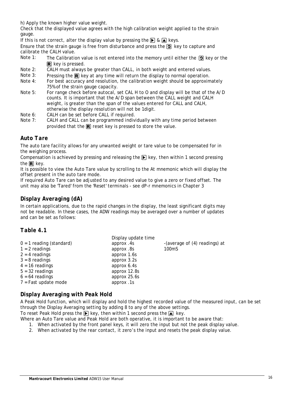h) Apply the known higher value weight.

Check that the displayed value agrees with the high calibration weight applied to the strain gauge.

If this is not correct, alter the display value by pressing the  $\triangleright$  &  $\triangleright$  keys.

Ensure that the strain gauge is free from disturbance and press the  $\Omega$  key to capture and calibrate the CALH value.<br>Note 1: The Calibratic

- The Calibration value is not entered into the memory until either the  $\Theta$  key or the  $\mathbb{R}$  key is pressed.
- Note 2: CALH must always be greater than CALL, in both weight and entered values.<br>Note 3: Pressing the **R** key at any time will return the display to normal operation
- Note 3: Pressing the  $\mathbb R$  key at any time will return the display to normal operation.<br>Note 4: For best accuracy and resolution, the calibration weight should be approxim
- For best accuracy and resolution, the calibration weight should be approximately 75% of the strain gauge capacity.
- Note 5: For range check before autocal, set CAL H to O and display will be that of the A/D counts. It is important that the A/D span between the CALL weight and CALH weight, is greater than the span of the values entered for CALL and CALH, otherwise the display resolution will not be 1digit.
- Note 6: CALH can be set before CALL if required.<br>Note 7: CALH and CALL can be programmed indiv
- CALH and CALL can be programmed individually with any time period between provided that the  $\mathbb R$  reset key is pressed to store the value.

## <span id="page-16-0"></span>*Auto Tare*

The auto tare facility allows for any unwanted weight or tare value to be compensated for in the weighing process.

Compensation is achieved by pressing and releasing the  $\blacktriangleright$  key, then within 1 second pressing the  $\mathbb R$  key.

It is possible to view the Auto Tare value by scrolling to the At mnemonic which will display the offset present in the auto tare mode.

If required Auto Tare can be adjusted to any desired value to give a zero or fixed offset. The unit may also be 'Tared' from the 'Reset' terminals - see dP-r mnemonics in Chapter 3

## <span id="page-16-1"></span>*Display Averaging (dA)*

In certain applications, due to the rapid changes in the display, the least significant digits may not be readable. In these cases, the ADW readings may be averaged over a number of updates and can be set as follows:

## <span id="page-16-2"></span>*Table 4.1*

|                            | Display update time |                               |
|----------------------------|---------------------|-------------------------------|
| $0 = 1$ reading (standard) | approx .4s          | -(average of (4) readings) at |
| $1 = 2$ readings           | approx .8s          | 100 <sub>m</sub> S            |
| $2 = 4$ readings           | approx 1.6s         |                               |
| $3 = 8$ readings           | approx 3.2s         |                               |
| $4 = 16$ readings          | approx 6.4s         |                               |
| $5 = 32$ readings          | approx 12.8s        |                               |
| $6 = 64$ readings          | approx 25.6s        |                               |
| $7 =$ Fast update mode     | approx .1s          |                               |
|                            |                     |                               |

## <span id="page-16-3"></span>*Display Averaging with Peak Hold*

A Peak Hold function, which will display and hold the highest recorded value of the measured input, can be set through the Display Averaging setting by adding 8 to any of the above settings.

To reset Peak Hold press the  $\triangleright$  key, then within 1 second press the  $\triangleright$  key.

- Where an Auto Tare value and Peak Hold are both operative, it is important to be aware that:
	- 1. When activated by the front panel keys, it will zero the input but not the peak display value.
	- 2. When activated by the rear contact, it zero's the input and resets the peak display value.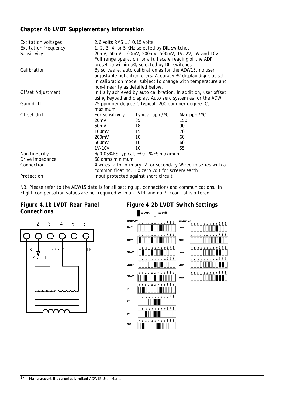## <span id="page-17-0"></span>*Chapter 4b LVDT Supplementary Information*

| Excitation voltages         | 2.6 volts RMS $\pm$ / 0.15 volts                                                                                               |                                                           |                                                                   |  |  |
|-----------------------------|--------------------------------------------------------------------------------------------------------------------------------|-----------------------------------------------------------|-------------------------------------------------------------------|--|--|
| <b>Excitation frequency</b> | 1, 2, 3, 4, or 5 KHz selected by DIL switches                                                                                  |                                                           |                                                                   |  |  |
| Sensitivity                 |                                                                                                                                | 20mV, 50mV, 100mV, 200mV, 500mV, 1V, 2V, 5V and 10V.      |                                                                   |  |  |
|                             |                                                                                                                                | Full range operation for a full scale reading of the ADP, |                                                                   |  |  |
|                             | preset to within 5%, selected by DIL switches.                                                                                 |                                                           |                                                                   |  |  |
| Calibration                 |                                                                                                                                | By software, auto calibration as for the ADW15, no user   |                                                                   |  |  |
|                             |                                                                                                                                |                                                           | adjustable potentiometers. Accuracy $\pm 2$ display digits as set |  |  |
|                             |                                                                                                                                |                                                           | in calibration mode, subject to change with temperature and       |  |  |
|                             | non-linearity as detailed below.                                                                                               |                                                           |                                                                   |  |  |
| Offset Adjustment           |                                                                                                                                |                                                           |                                                                   |  |  |
|                             | Initially achieved by auto calibration. In addition, user offset<br>using keypad and display. Auto zero system as for the ADW. |                                                           |                                                                   |  |  |
| Gain drift                  |                                                                                                                                | 75 ppm per degree C typical, 200 ppm per degree C,        |                                                                   |  |  |
|                             | maximum.                                                                                                                       |                                                           |                                                                   |  |  |
| Offset drift                |                                                                                                                                |                                                           |                                                                   |  |  |
|                             | For sensitivity                                                                                                                | Typical ppm/ <sup>o</sup> C                               | Max $ppm/°C$                                                      |  |  |
|                             | 20 <sub>m</sub> V                                                                                                              | 35                                                        | 150                                                               |  |  |
|                             | 50 <sub>m</sub> V                                                                                                              | 18                                                        | 90                                                                |  |  |
|                             | 100mV                                                                                                                          | 15                                                        | 70                                                                |  |  |
|                             | 200 <sub>m</sub> V                                                                                                             | 10                                                        | 60                                                                |  |  |
|                             | 500mV                                                                                                                          | 10                                                        | 60                                                                |  |  |
|                             | 1V-10V                                                                                                                         | 10                                                        | 55                                                                |  |  |
| Non linearity               | $\pm$ /0.05% FS typical, $\pm$ /0.1% FS maximum                                                                                |                                                           |                                                                   |  |  |
| Drive impedance             | 68 ohms minimum                                                                                                                |                                                           |                                                                   |  |  |
| Connection                  | 4 wires. 2 for primary, 2 for secondary Wired in series with a                                                                 |                                                           |                                                                   |  |  |
|                             | common floating. 1 x zero volt for screen/earth                                                                                |                                                           |                                                                   |  |  |
| Protection                  | Input protected against short circuit                                                                                          |                                                           |                                                                   |  |  |

NB. Please refer to the ADW15 details for all setting up, connections and communications. 'In Flight' compensation values are not required with an LVDT and no PID control is offered

## <span id="page-17-1"></span>*Figure 4.1b LVDT Rear Panel Connections*



## <span id="page-17-2"></span>*Figure 4.2b LVDT Switch Settings* $\blacksquare$  = on  $\Box$  = off **SENST IkHz**

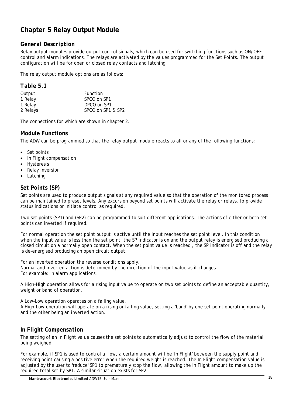## <span id="page-18-0"></span>**Chapter 5 Relay Output Module**

## <span id="page-18-1"></span>*General Description*

Relay output modules provide output control signals, which can be used for switching functions such as ON/OFF control and alarm indications. The relays are activated by the values programmed for the Set Points. The output configuration will be for open or closed relay contacts and latching.

The relay output module options are as follows:

## <span id="page-18-2"></span>*Table 5.1*

| Output   | Function          |
|----------|-------------------|
| 1 Relay  | SPCO on SP1       |
| 1 Relay  | DPCO on SP1       |
| 2 Relays | SPCO on SP1 & SP2 |

<span id="page-18-3"></span>The connections for which are shown in chapter 2.

## *Module Functions*

The ADW can be programmed so that the relay output module reacts to all or any of the following functions:

- Set points
- In Flight compensation
- **Hysteresis**
- Relay inversion
- Latching

## <span id="page-18-4"></span>*Set Points (SP)*

Set points are used to produce output signals at any required value so that the operation of the monitored process can be maintained to preset levels. Any excursion beyond set points will activate the relay or relays, to provide status indications or initiate control as required.

Two set points (SP1) and (SP2) can be programmed to suit different applications. The actions of either or both set points can inverted if required.

For normal operation the set point output is active until the input reaches the set point level. In this condition when the input value is less than the set point, the SP indicator is on and the output relay is energised producing a closed circuit on a normally open contact. When the set point value is reached , the SP indicator is off and the relay is de-energised producing an open circuit output.

For an inverted operation the reverse conditions apply. Normal and inverted action is determined by the direction of the input value as it changes. For example: In alarm applications.

A High-High operation allows for a rising input value to operate on two set points to define an acceptable quantity, weight or band of operation.

A Low-Low operation operates on a falling value.

A High-Low operation will operate on a rising or falling value, setting a 'band' by one set point operating normally and the other being an inverted action.

## <span id="page-18-5"></span>*In Flight Compensation*

The setting of an In Flight value causes the set points to automatically adjust to control the flow of the material being weighed.

For example, if SP1 is used to control a flow, a certain amount will be 'In Flight' between the supply point and receiving point causing a positive error when the required weight is reached. The In Flight compensation value is adjusted by the user to 'reduce' SP1 to prematurely stop the flow, allowing the In Flight amount to make up the required total set by SP1. A similar situation exists for SP2.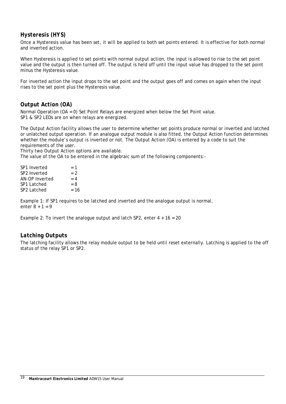## <span id="page-19-0"></span>*Hysteresis (HYS)*

Once a Hysteresis value has been set, it will be applied to both set points entered. It is effective for both normal and inverted action.

When Hysteresis is applied to set points with normal output action, the input is allowed to rise to the set point value and the output is then turned off. The output is held off until the input value has dropped to the set point minus the Hysteresis value.

For inverted action the input drops to the set point and the output goes off and comes on again when the input rises to the set point plus the Hysteresis value.

## <span id="page-19-1"></span>*Output Action (OA)*

Normal Operation (OA = 0) Set Point Relays are energized when below the Set Point value. SP1 & SP2 LEDs are on when relays are energized.

The Output Action facility allows the user to determine whether set points produce normal or inverted and latched or unlatched output operation. If an analogue output module is also fitted, the Output Action function determines whether the module's output is inverted or not. The Output Action (OA) is entered by a code to suit the requirements of the user.

Thirty two Output Action options are available.

The value of the OA to be entered in the algebraic sum of the following components:-

| SP1 Inverted   | $= 1$ |
|----------------|-------|
| SP2 Inverted   | $= 2$ |
| AN-OP Inverted | $= 4$ |
| SP1 Latched    | $= 8$ |
| SP2 Latched    | $=16$ |
|                |       |

Example 1: If SP1 requires to be latched and inverted and the analogue output is normal, enter  $8 + 1 = 9$ 

Example 2: To invert the analogue output and latch SP2, enter  $4 + 16 = 20$ 

## <span id="page-19-2"></span>*Latching Outputs*

The latching facility allows the relay module output to be held until reset externally. Latching is applied to the off status of the relay SP1 or SP2.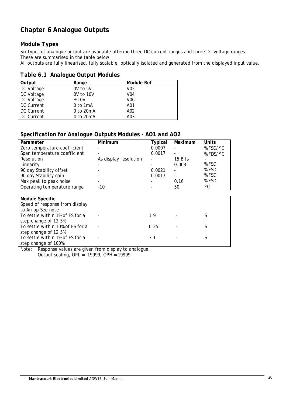## <span id="page-20-0"></span>**Chapter 6 Analogue Outputs**

## <span id="page-20-1"></span>*Module Types*

Six types of analogue output are available offering three DC current ranges and three DC voltage ranges. These are summarised in the table below.

All outputs are fully linearised, fully scalable, optically isolated and generated from the displayed input value.

<span id="page-20-2"></span>

|  | Table 6.1 Analogue Output Modules |  |  |
|--|-----------------------------------|--|--|
|--|-----------------------------------|--|--|

| Output     | Range      | Module Ref       |
|------------|------------|------------------|
| DC Voltage | 0V to 5V   | V <sub>02</sub>  |
| DC Voltage | 0V to 10V  | V <sub>0</sub> 4 |
| DC Voltage | ± 10V      | V06              |
| DC Current | $0$ to 1mA | A01              |
| DC Current | 0 to 20mA  | A02              |
| DC Current | 4 to 20mA  | A03              |

## <span id="page-20-3"></span>*Specification for Analogue Outputs Modules - AO1 and AO2*

| Parameter                    | Minimum               | <b>Typical</b> | Maximum | <b>Units</b> |
|------------------------------|-----------------------|----------------|---------|--------------|
| Zero temperature coefficient |                       | 0.0007         |         | % FSD/°C     |
| Span temperature coefficient | -                     | 0.0017         | -       | % FDS/°C     |
| Resolution                   | As display resolution |                | 15 Bits |              |
| Linearity                    |                       |                | 0.003   | % FSD        |
| 90 day Stability offset      |                       | 0.0021         |         | % FSD        |
| 90 day Stability gain        |                       | 0.0017         |         | % FSD        |
| Max peak to peak noise       | -                     |                | 0.16    | % FSD        |
| Operating temperature range  | $-10$                 |                | 50      | ۰C           |

| <b>Module Specific</b>           |                          |      |  |
|----------------------------------|--------------------------|------|--|
| Speed of response from display   |                          |      |  |
| to An-op See note                |                          |      |  |
| To settle within 1% of FS for a  | $\overline{\phantom{0}}$ | 1.9  |  |
| step change of 12.5%             |                          |      |  |
| To settle within 10% of FS for a | $\overline{\phantom{0}}$ | 0.25 |  |
| step change of 12.5%             |                          |      |  |
| To settle within 1% of FS for a  |                          | 3.1  |  |
| step change of 100%              |                          |      |  |

Note: Response values are given from display to analogue.

Output scaling, OPL = -19999, OPH = 19999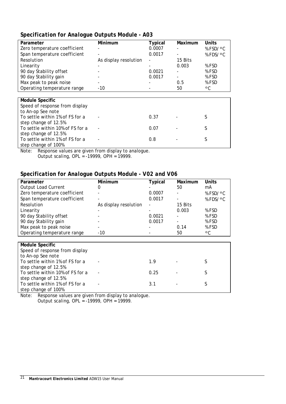## <span id="page-21-0"></span>*Specification for Analogue Outputs Module - A03*

| Parameter                      | Minimum               | <b>Typical</b>           | Maximum                  | Units           |
|--------------------------------|-----------------------|--------------------------|--------------------------|-----------------|
| Zero temperature coefficient   |                       | 0.0007                   |                          | % $FSD/\circ C$ |
| Span temperature coefficient   |                       | 0.0017                   | $\overline{\phantom{0}}$ | % $FDS/\circ C$ |
| Resolution                     | As display resolution | $\overline{\phantom{a}}$ | 15 Bits                  |                 |
| Linearity                      |                       | $\overline{\phantom{a}}$ | 0.003                    | % FSD           |
| 90 day Stability offset        |                       | 0.0021                   | -                        | % FSD           |
| 90 day Stability gain          |                       | 0.0017                   |                          | % FSD           |
| Max peak to peak noise         |                       | $\overline{\phantom{a}}$ | 0.5                      | % FSD           |
| Operating temperature range    | $-10$                 |                          | 50                       | ۰C              |
|                                |                       |                          |                          |                 |
| <b>Module Specific</b>         |                       |                          |                          |                 |
| Speed of response from display |                       |                          |                          |                 |
| to An-op See note              |                       |                          |                          |                 |

- 0.37 - S

- 0.07 - S

To settle within 1% of FS for a step change of 100%<br>Note: Response val - 0.8 - S Response values are given from display to analogue.

Output scaling, OPL = -19999, OPH = 19999.

To settle within 1% of FS for a

To settle within 10% of FS for a

step change of 12.5%

step change of 12.5%

## <span id="page-21-1"></span>*Specification for Analogue Outputs Module - V02 and V06*

| Parameter                                                     | Minimum               | <b>Typical</b> | Maximum | Units           |
|---------------------------------------------------------------|-----------------------|----------------|---------|-----------------|
| <b>Output Load Current</b>                                    | O                     |                | 50      | mA              |
| Zero temperature coefficient                                  |                       | 0.0007         |         | % $FSD/\circ C$ |
| Span temperature coefficient                                  |                       | 0.0017         |         | % $FDS/\circ C$ |
| Resolution                                                    | As display resolution |                | 15 Bits |                 |
| Linearity                                                     |                       |                | 0.003   | % FSD           |
| 90 day Stability offset                                       |                       | 0.0021         | -       | % FSD           |
| 90 day Stability gain                                         |                       | 0.0017         |         | % FSD           |
| Max peak to peak noise                                        |                       |                | 0.14    | % FSD           |
| Operating temperature range                                   | $-10$                 |                | 50      | ۰C              |
|                                                               |                       |                |         |                 |
| <b>Module Specific</b>                                        |                       |                |         |                 |
| Speed of response from display                                |                       |                |         |                 |
| to An-op See note                                             |                       |                |         |                 |
| To settle within 1% of FS for a<br>$other$ change of 12 $E0/$ |                       | 1.9            |         | S               |

| to An-op <i>see note</i>         |                          |      |                      |  |
|----------------------------------|--------------------------|------|----------------------|--|
| To settle within 1% of FS for a  | $\overline{\phantom{a}}$ | 19   | <b>Service</b>       |  |
| step change of 12.5%             |                          |      |                      |  |
| To settle within 10% of FS for a |                          | 0.25 | <b>All Control</b>   |  |
| step change of 12.5%             |                          |      |                      |  |
| To settle within 1% of FS for a  | $\overline{\phantom{a}}$ | 3.1  | and the state of the |  |
| step change of 100%              |                          |      |                      |  |

Note: Response values are given from display to analogue. Output scaling, OPL = -19999, OPH = 19999.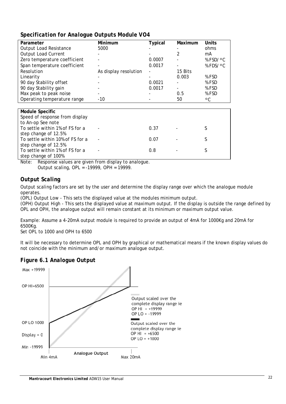## <span id="page-22-0"></span>*Specification for Analogue Outputs Module VO4*

| Parameter                        | Minimum               | <b>Typical</b> | Maximum | <b>Units</b>    |
|----------------------------------|-----------------------|----------------|---------|-----------------|
| Output Load Resistance           | 5000                  |                |         | ohms            |
| <b>Output Load Current</b>       |                       |                | 2       | mA              |
| Zero temperature coefficient     |                       | 0.0007         |         | % $FSD/\circ C$ |
| Span temperature coefficient     |                       | 0.0017         |         | % $FDS/\circ C$ |
| Resolution                       | As display resolution |                | 15 Bits |                 |
| Linearity                        |                       |                | 0.003   | % FSD           |
| 90 day Stability offset          |                       | 0.0021         |         | % FSD           |
| 90 day Stability gain            |                       | 0.0017         |         | % FSD           |
| Max peak to peak noise           |                       |                | 0.5     | % FSD           |
| Operating temperature range      | -10                   |                | 50      | ۰C              |
|                                  |                       |                |         |                 |
| <b>Module Specific</b>           |                       |                |         |                 |
| Speed of response from display   |                       |                |         |                 |
| to An-op See note                |                       |                |         |                 |
| To settle within 1% of FS for a  |                       | 0.37           |         | S               |
| step change of 12.5%             |                       |                |         |                 |
| To settle within 10% of FS for a |                       | 0.07           |         | S               |

step change of 12.5% To settle within 1% of FS for a step change of 100% - 0.8 - S Note: Response values are given from display to analogue.

Output scaling, OPL = -19999, OPH = 19999.

## <span id="page-22-1"></span>*Output Scaling*

Output scaling factors are set by the user and determine the display range over which the analogue module operates.

(OPL) Output Low - This sets the displayed value at the modules minimum output.

(OPH) Output High - This sets the displayed value at maximum output. If the display is outside the range defined by OPL and OPH, the analogue output will remain constant at its minimum or maximum output value.

- 0.07 - S

Example: Assume a 4-20mA output module is required to provide an output of 4mA for 1000Kg and 20mA for 6500Kg.

Set OPL to 1000 and OPH to 6500

It will be necessary to determine OPL and OPH by graphical or mathematical means if the known display values do not coincide with the minimum and/or maximum analogue output.

## <span id="page-22-2"></span>*Figure 6.1 Analogue Output*

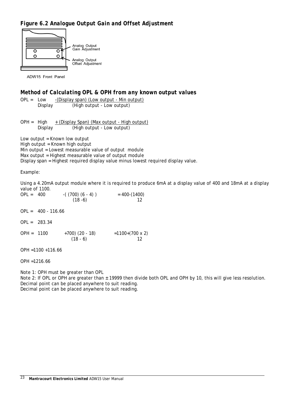## <span id="page-23-0"></span>*Figure 6.2 Analogue Output Gain and Offset Adjustment*



ADW15 Front Panel

## <span id="page-23-1"></span>*Method of Calculating OPL & OPH from any known output values*

OPL = Low -(Display span) (Low output - Min output) Display (High output - Low output)

OPH =  $High \t + (Display Span)$  (Max output - High output) Display (High output - Low output)

Low output = Known low output High output = Known high output Min output = Lowest measurable value of output module Max output = Highest measurable value of output module Display span = Highest required display value minus lowest required display value.

Example:

Using a 4.20mA output module where it is required to produce 6mA at a display value of 400 and 18mA at a display value of 1100.<br>OPL = 400

 $-( (700) (6 - 4) )$  $(18 - 6)$  $= 400-(1400)$ 12

 $OPL = 400 - 116.66$ 

OPL = 283.34

 $OPH = 1100 +700 (20 - 18)$  $(18 - 6)$ =1100+(700 x 2) 12

OPH =1100 +116.66

OPH =1216.66

Note 1: OPH must be greater than OPL

Note 2: If OPL or OPH are greater than ± 19999 then divide both OPL and OPH by 10, this will give less resolution. Decimal point can be placed anywhere to suit reading. Decimal point can be placed anywhere to suit reading.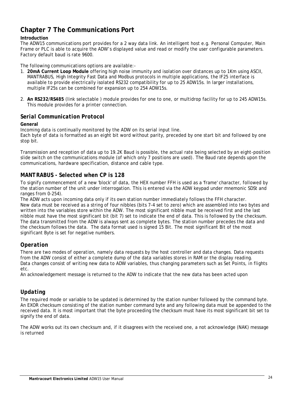## <span id="page-24-0"></span>**Chapter 7 The Communications Port**

#### **Introduction**

The ADW15 communications port provides for a 2 way data link. An intelligent host e.g. Personal Computer, Main Frame or PLC is able to acquire the ADW's displayed value and read or modify the user configurable parameters. Factory default baud is rate 9600.

The following communications options are available:-

- 1. **20mA Current Loop Module** offering high noise immunity and isolation over distances up to 1Km using ASCII, MANTRABUS, High Integrity Fast Data and Modbus protocols in multiple applications, the IF25 interface is available to provide electrically isolated RS232 compatibility for up to 25 ADW15s. In larger installations, multiple IF25s can be combined for expansion up to 254 ADW15s.
- 2. **An RS232/RS485** (link selectable ) module provides for one to one, or multidrop facility for up to 245 ADW15s. This module provides for a printer connection.

## <span id="page-24-1"></span>*Serial Communication Protocol*

#### **General**

Incoming data is continually monitored by the ADW on its serial input line. Each byte of data is formatted as an eight bit word without parity, preceded by one start bit and followed by one stop bit.

Transmission and reception of data up to 19.2K Baud is possible, the actual rate being selected by an eight-position slide switch on the communications module (of which only 7 positions are used). The Baud rate depends upon the communications, hardware specification, distance and cable type.

## <span id="page-24-2"></span>*MANTRABUS - Selected when CP is 128*

To signify commencement of a new 'block' of data, the HEX number FFH is used as a 'frame' character, followed by the station number of the unit under interrogation. This is entered via the ADW keypad under mnemonic SDSt and ranges from 0-254).

The ADW acts upon incoming data only if its own station number immediately follows the FFH character. New data must be received as a string of four nibbles (bits 7-4 set to zero) which are assembled into two bytes and written into the variables store within the ADW. The most significant nibble must be received first and the last nibble must have the most significant bit (bit 7) set to indicate the end of data. This is followed by the checksum. The data transmitted from the ADW is always sent as complete bytes. The station number precedes the data and the checksum follows the data. The data format used is signed 15 Bit. The most significant Bit of the most significant Byte is set for negative numbers.

## <span id="page-24-3"></span>*Operation*

There are two modes of operation, namely data requests by the host controller and data changes. Data requests from the ADW consist of either a complete dump of the data variables stores in RAM or the display reading. Data changes consist of writing new data to ADW variables, thus changing parameters such as Set Points, in flights etc.

An acknowledgement message is returned to the ADW to indicate that the new data has been acted upon

## <span id="page-24-4"></span>*Updating*

The required mode or variable to be updated is determined by the station number followed by the command byte. An EXOR checksum consisting of the station number command byte and any following data must be appended to the received data. It is most important that the byte proceeding the checksum must have its most significant bit set to signify the end of data.

The ADW works out its own checksum and, if it disagrees with the received one, a not acknowledge (NAK) message is returned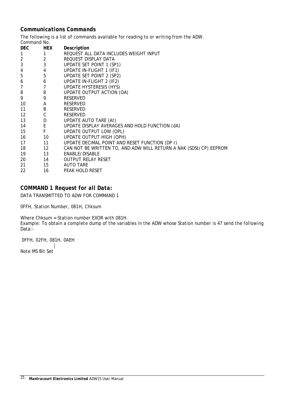## <span id="page-25-0"></span>*Communications Commands*

The following is a list of commands available for reading to or writing from the ADW. Command No.

| <b>DEC</b>     | <b>HEX</b>        | Description                                                       |
|----------------|-------------------|-------------------------------------------------------------------|
| $\mathbf{1}$   | 1                 | REQUEST ALL DATA INCLUDES WEIGHT INPUT                            |
| $\overline{2}$ | $\overline{2}$    | REQUEST DISPLAY DATA                                              |
| 3              | 3 <sup>7</sup>    | <b>UPDATE SET POINT 1 (SP1)</b>                                   |
| 4              | $\overline{4}$    | <b>UPDATE IN-FLIGHT 1 (IF1)</b>                                   |
| 5              | 5 <sub>5</sub>    | UPDATE SET POINT 2 (SP2)                                          |
| 6              |                   | UPDATE IN-FLIGHT 2 (IF2)                                          |
| $\overline{7}$ | $\frac{6}{7}$     | UPDATE HYSTERESIS (HYS)                                           |
| 8              | 8                 | UPDATE OUTPUT ACTION (OA)                                         |
| 9              | 9                 | <b>RESERVED</b>                                                   |
| 10             | A                 | <b>RESERVED</b>                                                   |
| 11             | B <sub>a</sub>    | <b>RESERVED</b>                                                   |
| 12             | $\mathsf C$       | <b>RESERVED</b>                                                   |
| 13             | $D \qquad \qquad$ | UPDATE AUTO TARE (At)                                             |
| 14             | $E = 1$           | UPDATE DISPLAY AVERAGES AND HOLD FUNCTION (dA)                    |
| 15             | $F = 1$           | UPDATE OUTPUT LOW (OPL)                                           |
| 10<br>16       |                   | UPDATE OUTPUT HIGH (OPH)                                          |
| 17             | $\sqrt{11}$       | UPDATE DECIMAL POINT AND RESET FUNCTION (DP r)                    |
| 18             | 12                | CAN NOT BE WRITTEN TO, AND ADW WILL RETURN A NAK (SDSt/CP) EEPROM |
| 19             | 13                | ENABLE/DISABLE                                                    |
| 20             | 14                | <b>OUTPUT RELAY RESET</b>                                         |
| 21             | 15                | <b>AUTO TARE</b>                                                  |
| 22             | 16                | PEAK HOLD RESET                                                   |

## <span id="page-25-1"></span>*COMMAND 1 Request for all Data:*

DATA TRANSMITTED TO ADW FOR COMMAND 1

0FFH, Station Number, 081H, Chksum

Where Chksum = Station number EXOR with 081H. Example: To obtain a complete dump of the variables in the ADW whose Station number is 47 send the following Data:-

0FFH, 02FH, 081H, 0AEH

Note MS Bit Set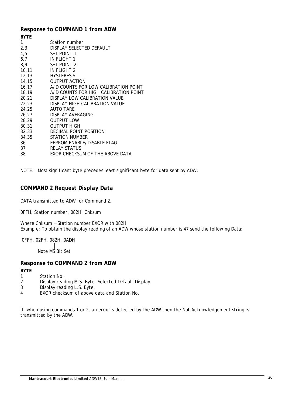## <span id="page-26-0"></span>*Response to COMMAND 1 from ADW*

| <b>BYTE</b> |                                       |
|-------------|---------------------------------------|
| 1           | Station number                        |
| 2,3         | DISPLAY SELECTED DEFAULT              |
| 4,5         | <b>SET POINT 1</b>                    |
| 6,7         | <b>IN FLIGHT 1</b>                    |
| 8,9         | <b>SET POINT 2</b>                    |
| 10, 11      | IN FLIGHT 2                           |
| 12,13       | <b>HYSTERESIS</b>                     |
| 14,15       | <b>OUTPUT ACTION</b>                  |
| 16, 17      | A/D COUNTS FOR LOW CALIBRATION POINT  |
| 18,19       | A/D COUNTS FOR HIGH CALIBRATION POINT |
| 20,21       | DISPLAY LOW CALIBRATION VALUE         |
| 22,23       | DISPLAY HIGH CALIBRATION VALUE        |
| 24,25       | <b>AUTO TARE</b>                      |
| 26,27       | DISPLAY AVERAGING                     |
| 28,29       | <b>OUTPUT LOW</b>                     |
| 30,31       | <b>OUTPUT HIGH</b>                    |
| 32,33       | DECIMAL POINT POSITION                |
| 34,35       | STATION NUMBER                        |
| 36          | EEPROM ENABLE/DISABLE FLAG            |
| 37          | <b>RELAY STATUS</b>                   |
| 38          | EXOR CHECKSUM OF THE ABOVE DATA       |
|             |                                       |

NOTE: Most significant byte precedes least significant byte for data sent by ADW.

## <span id="page-26-1"></span>*COMMAND 2 Request Display Data*

DATA transmitted to ADW for Command 2.

0FFH, Station number, 082H, Chksum

Where Chksum = Station number EXOR with 082H Example: To obtain the display reading of an ADW whose station number is 47 send the following Data:

0FFH, 02FH, 082H, 0ADH Note MS Bit Set

## <span id="page-26-2"></span>*Response to COMMAND 2 from ADW*

## **BYTE**

- 1 Station No.
- $\overline{2}$ Display reading M.S. Byte. Selected Default Display
- 3 Display reading L.S. Byte.
- 4 EXOR checksum of above data and Station No.

If, when using commands 1 or 2, an error is detected by the ADW then the Not Acknowledgement string is transmitted by the ADW.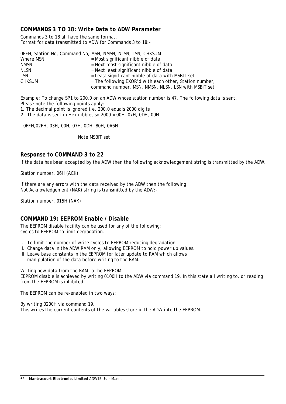## <span id="page-27-0"></span>*COMMANDS 3 TO 18: Write Data to ADW Parameter*

Commands 3 to 18 all have the same format. Format for data transmitted to ADW for Commands 3 to 18:-

|               | OFFH, Station No, Command No, MSN, NMSN, NLSN, LSN, CHKSUM |
|---------------|------------------------------------------------------------|
| Where MSN     | $=$ Most significant nibble of data                        |
| <b>NMSN</b>   | $=$ Next most significant nibble of data                   |
| <b>NLSN</b>   | = Next least significant nibble of data                    |
| <b>LSN</b>    | = Least significant nibble of data with MSBIT set          |
| <b>CHKSUM</b> | = The following EXOR'd with each other, Station number,    |
|               | command number, MSN, NMSN, NLSN, LSN with MSBIT set        |

Example: To change SP1 to 200.0 on an ADW whose station number is 47. The following data is sent. Please note the following points apply:-

1. The decimal point is ignored i.e. 200.0 equals 2000 digits

2. The data is sent in Hex nibbles so 2000 = 00H, 07H, 0DH, 00H

0FFH,02FH, 03H, 00H, 07H, 0DH, 80H, 0A6H

Note MSBIT set

## <span id="page-27-1"></span>*Response to COMMAND 3 to 22*

If the data has been accepted by the ADW then the following acknowledgement string is transmitted by the ADW.

Station number, 06H (ACK)

If there are any errors with the data received by the ADW then the following Not Acknowledgement (NAK) string is transmitted by the ADW:-

Station number, 015H (NAK)

## <span id="page-27-2"></span>*COMMAND 19: EEPROM Enable / Disable*

The EEPROM disable facility can be used for any of the following: cycles to EEPROM to limit degradation.

- I. To limit the number of write cycles to EEPROM reducing degradation.
- II. Change data in the ADW RAM only, allowing EEPROM to hold power up values.
- III. Leave base constants in the EEPROM for later update to RAM which allows manipulation of the data before writing to the RAM.

Writing new data from the RAM to the EEPROM.

EEPROM disable is achieved by writing 0100H to the ADW via command 19. In this state all writing to, or reading from the EEPROM is inhibited.

The EEPROM can be re-enabled in two ways:

By writing 0200H via command 19. This writes the current contents of the variables store in the ADW into the EEPROM.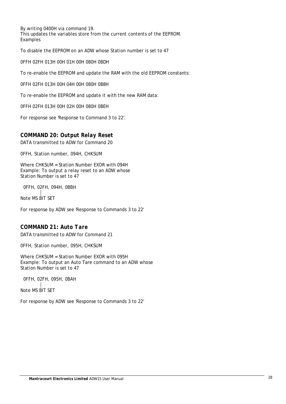By writing 0400H via command 19. This updates the variables store from the current contents of the EEPROM. Examples

To disable the EEPROM on an ADW whose Station number is set to 47

0FFH 02FH 013H 00H 01H 00H 080H 0BDH

To re-enable the EEPROM and update the RAM with the old EEPROM constants:

0FFH 02FH 013H 00H 04H 00H 080H 0B8H

To re-enable the EEPROM and update it with the new RAM data:

0FFH 02FH 013H 00H 02H 00H 080H 0BEH

For response see 'Response to Command 3 to 22'.

## <span id="page-28-0"></span>*COMMAND 20: Output Relay Reset*

DATA transmitted to ADW for Command 20

0FFH, Station number, 094H, CHKSUM

Where CHKSUM = Station Number EXOR with 094H Example: To output a relay reset to an ADW whose Station Number is set to 47

 0FFH, 02FH, 094H, 0BBH Note MS BIT SET

For response by ADW see 'Response to Commands 3 to 22'

## <span id="page-28-1"></span>*COMMAND 21: Auto Tare*

DATA transmitted to ADW for Command 21

0FFH, Station number, 095H, CHKSUM

Where CHKSUM = Station Number EXOR with 095H Example: To output an Auto Tare command to an ADW whose Station Number is set to 47

0FFH, 02FH, 095H, 0BAH

Note MS BIT SET

For response by ADW see 'Response to Commands 3 to 22'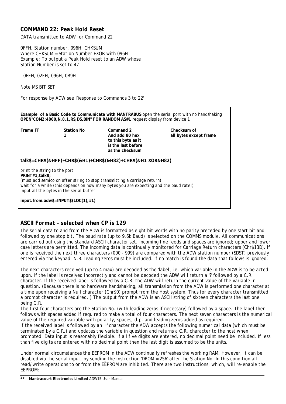## <span id="page-29-0"></span>*COMMAND 22: Peak Hold Reset*

DATA transmitted to ADW for Command 22

0FFH, Station number, 096H, CHKSUM Where CHKSUM = Station Number EXOR with 096H Example: To output a Peak Hold reset to an ADW whose Station Number is set to 47

 0FFH, 02FH, 096H, 0B9H Note MS BIT SET

For response by ADW see 'Response to Commands 3 to 22'

**Example of a Basic Code to Communicate with MANTRABUS** open the serial port with no handshaking **OPEN"COM2:4800,N,8,1,RS,DS,BIN" FOR RANDOM AS#1** request display from device 1 **Frame FF Station No 1 Command 2 And add 80 hex to this byte as it is the last before as the checksum Checksum of all bytes except frame talk\$=CHR\$(&HFF)+CHR\$(&H1)+CHR\$(&H82)+CHR\$(&H1 XOR&H82)** *print the string to the port* **PRINT#1,talk\$;** *(must add semicolon after string to stop transmitting a carriage return) wait for a while (this depends on how many bytes you are expecting and the baud rate!) input all the bytes in the serial buffer* **input.from.adw\$=INPUT\$(LOC(1),#1)**

## <span id="page-29-1"></span>*ASCII Format - selected when CP is 129*

The serial data to and from the ADW is formatted as eight bit words with no parity preceded by one start bit and followed by one stop bit. The baud rate (up to 9.6k Baud) is selected on the COMMS module. All communications are carried out using the standard ASCII character set. Incoming line feeds and spaces are ignored; upper and lower case letters are permitted. The incoming data is continually monitored for Carriage Return characters (Chr\$13D). If one is received the next three characters (000 - 999) are compared with the ADW station number (SDST) previously entered via the keypad. N.B. leading zeros must be included. If no match is found the data that follows is ignored.

The next characters received (up to 4 max) are decoded as the 'label', ie. which variable in the ADW is to be acted upon. If the label is received incorrectly and cannot be decoded the ADW will return a '?' followed by a C.R. character. If the received label is followed by a C.R. the ADW will return the current value of the variable in question. (Because there is no hardware handshaking, all transmission from the ADW is performed one character at a time upon receiving a Null character (Chr\$0) prompt from the Host system. Thus for every character transmitted a prompt character is required. ) The output from the ADW is an ASCII string of sixteen characters the last one being C.R.

The first four characters are the Station No. (with leading zeros if necessary) followed by a space. The label then follows with spaces added if required to make a total of four characters. The next seven characters is the numerical value of the required variable with polarity, spaces, d.p. and leading zeros added as required.

If the received label is followed by an '=' character the ADW accepts the following numerical data (which must be terminated by a C.R.) and updates the variable in question and returns a C.R. character to the host when prompted. Data input is reasonably flexible. If all five digits are entered, no decimal point need be included. If less than five digits are entered with no decimal point then the last digit is assumed to be the units.

Under normal circumstances the EEPROM in the ADW continually refreshes the working RAM. However, it can be disabled via the serial input, by sending the instruction 'DROM = 256' after the Station No. In this condition all read/write operations to or from the EEPROM are inhibited. There are two instructions, which, will re-enable the EEPROM: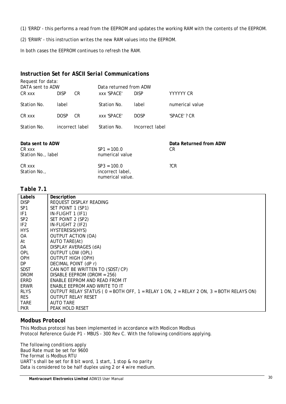(1) 'ERRD' - this performs a read from the EEPROM and updates the working RAM with the contents of the EEPROM.

(2) 'ERWR' - this instruction writes the new RAM values into the EEPROM.

In both cases the EEPROM continues to refresh the RAM.

## <span id="page-30-0"></span>*Instruction Set for ASCII Serial Communications*

| Request for data:<br>DATA sent to ADW |             |                 | Data returned from ADW |                 |                              |
|---------------------------------------|-------------|-----------------|------------------------|-----------------|------------------------------|
| CR xxx                                | <b>DISP</b> | CR.             | XXX 'SPACE'            | <b>DISP</b>     | YYYYYY CR                    |
| Station No.                           | label       |                 | Station No.            | label           | numerical value              |
| CR xxx                                | <b>DOSP</b> | CR.             | <b>XXX 'SPACE'</b>     | <b>DOSP</b>     | 'SPACE' ? CR                 |
| Station No.                           |             | incorrect label | Station No.            | Incorrect label |                              |
| Data sent to ADW<br>CR xxx            |             |                 | $SP1 = 100.0$          |                 | Data Returned from ADW<br>CR |

| Station No., label     | numerical value                                       |     |
|------------------------|-------------------------------------------------------|-----|
| CR xxx<br>Station No., | $SP3 = 100.0$<br>incorrect label.<br>numerical value. | ?CR |

## <span id="page-30-1"></span>*Table 7.1*

| Labels          | Description                                                                            |
|-----------------|----------------------------------------------------------------------------------------|
| <b>DISP</b>     | REQUEST DISPLAY READING                                                                |
| SP1             | SET POINT 1 (SP1)                                                                      |
| IF <sub>1</sub> | IN-FLIGHT 1 (IF1)                                                                      |
| SP <sub>2</sub> | SET POINT 2 (SP2)                                                                      |
| IF <sub>2</sub> | IN-FLIGHT 2 (IF2)                                                                      |
| <b>HYS</b>      | HYSTERESIS(HYS)                                                                        |
| OA.             | <b>OUTPUT ACTION (OA)</b>                                                              |
| At              | AUTO TARE(At)                                                                          |
| DA              | DISPLAY AVERAGES (dA)                                                                  |
| <b>OPL</b>      | <b>OUTPUT LOW (OPL)</b>                                                                |
| <b>OPH</b>      | <b>OUTPUT HIGH (OPH)</b>                                                               |
| DP.             | DECIMAL POINT (dP r)                                                                   |
| <b>SDST</b>     | CAN NOT BE WRITTEN TO (SDST/CP)                                                        |
| <b>DROM</b>     | DISABLE EEPROM (DROM = 256)                                                            |
| ERRD            | ENABLE EEPROM AND READ FROM IT                                                         |
| ERWR            | ENABLE EEPROM AND WRITE TO IT                                                          |
| <b>RLYS</b>     | OUTPUT RELAY STATUS (0 = BOTH OFF, 1 = RELAY 1 ON, 2 = RELAY 2 ON, 3 = BOTH RELAYS ON) |
| <b>RES</b>      | <b>OUTPUT RELAY RESET</b>                                                              |
| <b>TARE</b>     | <b>AUTO TARE</b>                                                                       |
| <b>PKR</b>      | PEAK HOLD RESET                                                                        |

## <span id="page-30-2"></span>*Modbus Protocol*

This Modbus protocol has been implemented in accordance with Modicon Modbus Protocol Reference Guide P1 - MBUS - 300 Rev C. With the following conditions applying.

The following conditions apply Baud Rate must be set for 9600 The format is Modbus RTU UART's shall be set for 8 bit word, 1 start, 1 stop & no parity Data is considered to be half duplex using 2 or 4 wire medium.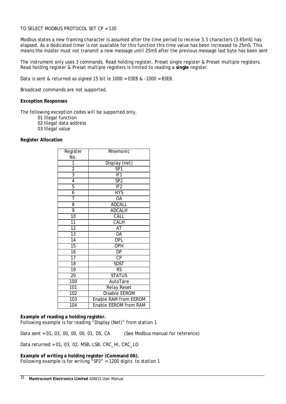#### TO SELECT MODBUS PROTOCOL SET CP = 130

Modbus states a new framing character is assumed after the time period to receive 3.5 characters (3.65mS) has elapsed. As a dedicated timer is not available for this function this time value has been increased to 25mS. This means the master must not transmit a new message until 25mS after the previous message last byte has been sent

The instrument only uses 3 commands. Read holding register, Preset single register & Preset multiple registers. Read holding register & Preset multiple registers is limited to reading a **single** register.

Data is sent & returned as signed 15 bit ie 1000 = 03E8 & -1000 = 83E8.

Broadcast commands are not supported.

#### **Exception Responses**

The following exception codes will be supported only,

- 01 Illegal function
- 02 Illegal data address
- 03 Illegal value

#### **Register Allocation**

| Register         | Mnemonic                     |
|------------------|------------------------------|
| No.              |                              |
| 1                | Display (net)                |
| $\overline{2}$   | SP <sub>1</sub>              |
| $\overline{3}$   | IF1                          |
| $\overline{4}$   | SP <sub>2</sub>              |
| $\overline{5}$   | IF2                          |
| $\overline{6}$   | $\overline{HYS}$             |
| 7                | $\overline{OA}$              |
| 8                | <b>ADCALL</b>                |
| 9                | <b>ADCALH</b>                |
| $\overline{1}0$  | CALL                         |
| 11               | CALH                         |
| 12               | AT                           |
| $\overline{13}$  | DA                           |
| $\overline{14}$  | OPL                          |
| $\overline{15}$  | <b>OPH</b>                   |
| 16               | DP                           |
| $\overline{17}$  | CP                           |
| 18               | <b>SDST</b>                  |
| 19               | RS                           |
| 20               | <b>STATUS</b>                |
| 100              | AutoTare                     |
| 101              | <b>Relay Reset</b>           |
| 102              | <b>Disable EEROM</b>         |
| 103              | <b>Enable RAM from EEROM</b> |
| $\overline{104}$ | Enable EEROM from RAM        |

#### **Example of reading a holding register.**

Following example is for reading "Display (Net)" from station 1

Data sent = 01, 03, 00, 00, 00, 01, D5, CA (See Modbus manual for reference)

Data returned = 01, 03, 02, MSB, LSB, CRC\_HI, CRC\_LO

**Example of writing a holding register (Command 06).** Following example is for writing "SP2" = 1200 digits to station 1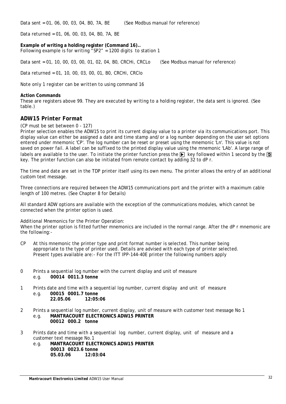Data sent = 01, 06, 00, 03, 04, B0, 7A, BE (See Modbus manual for reference)

Data returned = 01, 06, 00, 03, 04, B0, 7A, BE

**Example of writing a holding register (Command 16)..** Following example is for writing "SP2" = 1200 digits to station 1

Data sent = 01, 10, 00, 03, 00, 01, 02, 04, B0, CRCHi, CRCLo (See Modbus manual for reference)

Data returned = 01, 10, 00, 03, 00, 01, B0, CRCHi, CRClo

*Note only 1 register can be written to using command 16*

#### **Action Commands**

These are registers above 99. They are executed by writing to a holding register, the data sent is ignored. (See table.)

#### <span id="page-32-0"></span>*ADW15 Printer Format*

(CP must be set between 0 - 127)

Printer selection enables the ADW15 to print its current display value to a printer via its communications port. This display value can either be assigned a date and time stamp and/or a log number depending on the user set options entered under mnemonic 'CP'. The log number can be reset or preset using the mnemonic 'Ln'. This value is not saved on power fail. A label can be suffixed to the printed display value using the mnemonic 'LAb'. A large range of labels are available to the user. To initiate the printer function press the  $\bigtriangledown$  key followed within 1 second by the  $\bigcirc$ key. The printer function can also be initiated from remote contact by adding 32 to dP r.

The time and date are set in the TDP printer itself using its own menu. The printer allows the entry of an additional custom text message.

Three connections are required between the ADW15 communications port and the printer with a maximum cable length of 100 metres. (See Chapter 8 for Details)

All standard ADW options are available with the exception of the communications modules, which cannot be connected when the printer option is used.

#### Additional Mnemonics for the Printer Operation:

When the printer option is fitted further mnemonics are included in the normal range. After the dP r mnemonic are the following:-

- CP At this mnemonic the printer type and print format number is selected. This number being appropriate to the type of printer used. Details are advised with each type of printer selected. Present types available are:- For the ITT IPP-144-40E printer the following numbers apply
- $\Omega$ Prints a sequential log number with the current display and unit of measure e.g. **00014 0011.3 tonne**
- 1 Prints date and time with a sequential log number, current display and unit of measure e.g. **00015 0001.7 tonne 22.05.06 12:05:06**
- $\mathfrak{2}$ Prints a sequential log number, current display, unit of measure with customer text message No 1 e.g. **MANTRACOURT ELECTRONICS ADW15 PRINTER 00012 000.2 tonne**
- 3 Prints date and time with a sequential log number, current display, unit of measure and a customer text message No.1
	- e.g. **MANTRACOURT ELECTRONICS ADW15 PRINTER 00013 0023.6 tonne 05.03.06 12:03:04**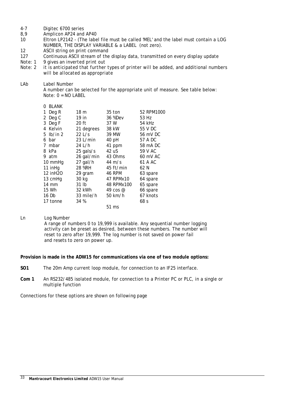- 4-7 Digitec 6700 series
- 8,9 Amplicon AP24 and AP40
- 10 Eltron LP2142 - (The label file must be called 'MEL' and the label must contain a LOG NUMBER, THE DISPLAY VARIABLE & a LABEL (not zero).
- 12 ASCII string on print command
- 127 Continuous ASCII stream of the display data, transmitted on every display update
- *Note: 1 9 gives an inverted print out*
- *Note: 2 it is anticipated that further types of printer will be added, and additional numbers will be allocated as appropriate*
- LAb Label Number

A number can be selected for the appropriate unit of measure. See table below: Note: 0 = NO LABEL

| <b>BLANK</b><br>0 |            |                     |            |
|-------------------|------------|---------------------|------------|
| Deg R<br>1        | 18 m       | 35 ton              | 52 RPM1000 |
| Deg C<br>2        | 19 in      | 36 %Dev             | 53 Hz      |
| Deg F<br>3        | $20$ ft    | 37 W                | 54 kHz     |
| Kelvin<br>4       | 21 degrees | 38 kW               | 55 V DC    |
| lb/in 2<br>5.     | 221/s      | 39 MW               | 56 mV DC   |
| bar<br>6          | $23$ L/min | 40 pH               | 57 A DC    |
| mbar<br>7         | 24 L/h     | 41 ppm              | 58 mA DC   |
| kPa<br>8          | 25 gals/s  | 42 uS               | 59 V AC    |
| atm<br>9          | 26 gal/min | 43 Ohms             | 60 mV AC   |
| 10 mmHg           | 27 gal/h   | 44 $m/s$            | 61 A AC    |
| 11 inHg           | 28 %RH     | $45 \text{ ft/min}$ | 62 N       |
| 12 inH2O          | 29 gram    | 46 RPM              | 63 spare   |
| 13 cmHg           | 30 kg      | 47 RPMx10           | 64 spare   |
| $14 \text{ mm}$   | 31 lb      | 48 RPMx100          | 65 spare   |
| 15 Wh             | 32 kWh     | 49 cos $\omega$     | 66 spare   |
| 16 Db             | 33 mile/h  | $50 \text{ km/h}$   | 67 knots   |
| 17 tonne          | 34 %       |                     | 68 s       |
|                   |            | 51 ms               |            |

Ln Log Number

A range of numbers 0 to 19,999 is available. Any sequential number logging activity can be preset as desired, between these numbers. The number will reset to zero after 19,999. The log number is not saved on power fail and resets to zero on power up.

**Provision is made in the ADW15 for communications via one of two module options:**

- **SO1** The 20m Amp current loop module, for connection to an IF25 interface.
- **Com 1** An RS232/485 isolated module, for connection to a Printer PC or PLC, in a single or multiple function

Connections for these options are shown on following page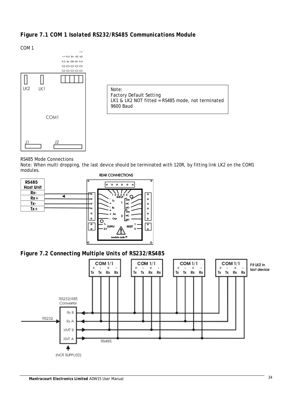<span id="page-34-0"></span>COM 1



Note: Factory Default Setting LK1 & LK2 NOT fitted = RS485 mode, not terminated 9600 Baud

RS485 Mode Connections

Note: When multi dropping, the last device should be terminated with 120R, by fitting link LK2 on the COM1 modules.

2

ule code 9



<span id="page-34-1"></span>

 $\overline{2}$ 

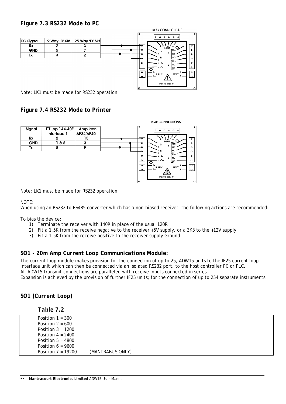## <span id="page-35-0"></span>*Figure 7.3 RS232 Mode to PC*



Note: LK1 must be made for RS232 operation

<span id="page-35-1"></span>*Figure 7.4 RS232 Mode to Printer*



Note: LK1 must be made for RS232 operation

## NOTE:

When using an RS232 to RS485 converter which has a non-biased receiver, the following actions are recommended:-

To bias the device:

- 1) Terminate the receiver with 140R in place of the usual 120R
- 2) Fit a 1.5K from the receive negative to the receiver +5V supply, or a 3K3 to the +12V supply
- 3) Fit a 1.5K from the receive positive to the receiver supply Ground

## <span id="page-35-2"></span>*SO1 - 20m Amp Current Loop Communications Module:*

The current loop module makes provision for the connection of up to 25, ADW15 units to the IF25 current loop interface unit which can then be connected via an isolated RS232 port, to the host controller PC or PLC. All ADW15 transmit connections are paralleled with receive inputs connected in series. Expansion is achieved by the provision of further IF25 units; for the connection of up to 254 separate instruments.

## <span id="page-35-3"></span>*SO1 (Current Loop)*

<span id="page-35-4"></span>

|  | able |  |
|--|------|--|
|--|------|--|

| Position $1 = 300$   |                  |  |
|----------------------|------------------|--|
| Position $2 = 600$   |                  |  |
| Position $3 = 1200$  |                  |  |
| Position $4 = 2400$  |                  |  |
| Position $5 = 4800$  |                  |  |
| Position $6 = 9600$  |                  |  |
| Position $7 = 19200$ | (MANTRABUS ONLY) |  |
|                      |                  |  |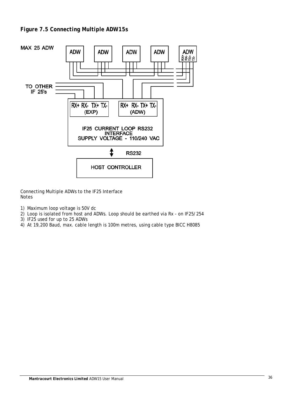<span id="page-36-0"></span>

Connecting Multiple ADWs to the IF25 Interface Notes

- 1) Maximum loop voltage is 50V dc
- 2) Loop is isolated from host and ADWs. Loop should be earthed via Rx on IF25/254
- 3) IF25 used for up to 25 ADWs
- 4) At 19,200 Baud, max. cable length is 100m metres, using cable type BICC H8085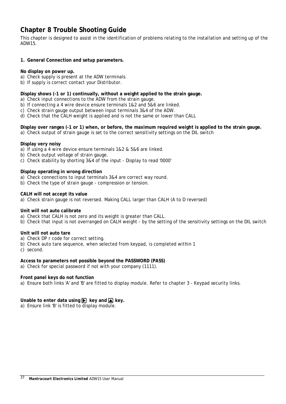## <span id="page-37-0"></span>**Chapter 8 Trouble Shooting Guide**

This chapter is designed to assist in the identification of problems relating to the installation and setting up of the ADW15.

#### **1. General Connection and setup parameters.**

#### **No display on power up.**

- a) Check supply is present at the ADW terminals.
- b) If supply is correct contact your Distributor.

#### **Display shows (-1 or 1) continually, without a weight applied to the strain gauge.**

- a) Check input connections to the ADW from the strain gauge.
- b) If connecting a 4 wire device ensure terminals 1&2 and 5&6 are linked.
- c) Check strain gauge output between input terminals 3&4 of the ADW.
- d) Check that the CALH weight is applied and is not the same or lower than CALL

## **Display over ranges (-1 or 1) when, or before, the maximum required weight is applied to the strain gauge.**

a) Check output of strain gauge is set to the correct sensitivity settings on the DIL switch

#### **Display very noisy**

- a) If using a 4 wire device ensure terminals 1&2 & 5&6 are linked.
- b) Check output voltage of strain gauge.
- c) Check stability by shorting 3&4 of the input Display to read '0000'

#### **Display operating in wrong direction**

- a) Check connections to input terminals 3&4 are correct way round.
- b) Check the type of strain gauge compression or tension.

#### **CALH will not accept its value**

a) Check strain gauge is not reversed. Making CALL larger than CALH (A to D reversed)

#### **Unit will not auto calibrate**

- a) Check that CALH is not zero and its weight is greater than CALL.
- b) Check that input is not overranged on CALH weight by the setting of the sensitivity settings on the DIL switch

#### **Unit will not auto tare**

- a) Check DP r code for correct setting.
- b) Check auto tare sequence, when selected from keypad, is completed within 1

c) second.

## **Access to parameters not possible beyond the PASSWORD (PASS)**

a) Check for special password if not with your company (1111).

#### **Front panel keys do not function**

a) Ensure both links 'A' and 'B' are fitted to display module. Refer to chapter 3 - Keypad security links.

## **Unable to enter data using**  $\triangleright$  **key and**  $\triangleright$  **key.**

a) Ensure link 'B' is fitted to display module.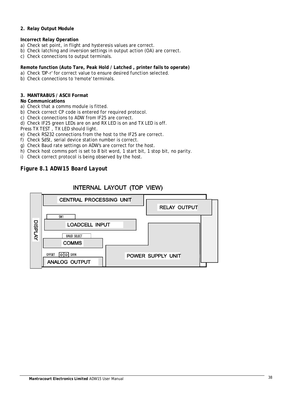#### **2. Relay Output Module**

#### **Incorrect Relay Operation**

- a) Check set point, in flight and hysteresis values are correct.
- b) Check latching and inversion settings in output action (OA) are correct.
- c) Check connections to output terminals.

## **Remote function (Auto Tare, Peak Hold / Latched , printer fails to operate)**

- a) Check 'DP-r' for correct value to ensure desired function selected.
- b) Check connections to 'remote' terminals.

#### **3. MANTRABUS / ASCII Format**

#### **No Communications**

- a) Check that a comms module is fitted.
- b) Check correct CP code is entered for required protocol.
- c) Check connections to ADW from IF25 are correct.
- d) Check IF25 green LEDs are on and RX LED is on and TX LED is off.

Press TX TEST, TX LED should light.

- e) Check RS232 connections from the host to the IF25 are correct.
- f) Check SdSt, serial device station number is correct.
- g) Check Baud rate settings on ADW's are correct for the host.
- h) Check host comms port is set to 8 bit word, 1 start bit, 1 stop bit, no parity.
- i) Check correct protocol is being observed by the host.

## <span id="page-38-0"></span>*Figure 8.1 ADW15 Board Layout*

## INTERNAL LAYOUT (TOP VIEW)

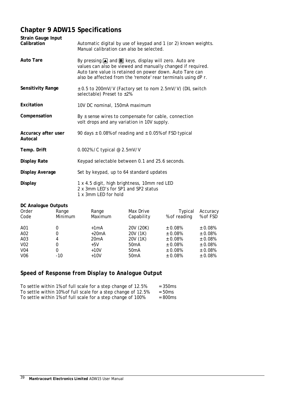## <span id="page-39-0"></span>**Chapter 9 ADW15 Specifications**

| <b>Strain Gauge Input</b><br>Calibration | Automatic digital by use of keypad and 1 (or 2) known weights.<br>Manual calibration can also be selected.                                                                                                                                                            |
|------------------------------------------|-----------------------------------------------------------------------------------------------------------------------------------------------------------------------------------------------------------------------------------------------------------------------|
| <b>Auto Tare</b>                         | By pressing $\triangle$ and $\triangle$ keys, display will zero. Auto are<br>values can also be viewed and manually changed if required.<br>Auto tare value is retained on power down. Auto Tare can<br>also be affected from the 'remote' rear terminals using dP r. |
| Sensitivity Range                        | ± 0.5 to 200mV/V (Factory set to nom 2.5mV/V) (DIL switch<br>selectable) Preset to ±2%                                                                                                                                                                                |
| Excitation                               | 10V DC nominal, 150mA maximum                                                                                                                                                                                                                                         |
| Compensation                             | By $\pm$ sense wires to compensate for cable, connection<br>volt drops and any variation in 10V supply.                                                                                                                                                               |
| Accuracy after user<br>Autocal           | 90 days $\pm$ 0.08% of reading and $\pm$ 0.05% of FSD typical                                                                                                                                                                                                         |
| Temp. Drift                              | 0.002% / C typical @ 2.5mV/V                                                                                                                                                                                                                                          |
| <b>Display Rate</b>                      | Keypad selectable between 0.1 and 25.6 seconds.                                                                                                                                                                                                                       |
| <b>Display Average</b>                   | Set by keypad, up to 64 standard updates                                                                                                                                                                                                                              |
| <b>Display</b>                           | 1 x 4.5 digit, high brightness, 10mm red LED<br>2 x 3mm LED's for SP1 and SP2 status<br>1 x 3mm LED for hold                                                                                                                                                          |

#### **DC Analogue Outputs** Order Code A01 A02 A03 V02 V04 V06 Range Minimum 0 0 4 0 0 -10 Range Maximum  $+1mA$ +20mA 20mA +5V +10V +10V Max Drive Capability 20V (20K) 20V (1K) 20V (1K) 50mA 50mA 50mA Typical % of reading ± 0.08% ± 0.08% ± 0.08% ± 0.08% ± 0.08% ± 0.08% Accuracy % of FSD ± 0.08%  $\pm$  0.08% ± 0.08% ± 0.08% ± 0.08% ± 0.08%

## <span id="page-39-1"></span>*Speed of Response from Display to Analogue Output*

| To settle within 1% of full scale for a step change of 12.5%  | $= 350$ ms |
|---------------------------------------------------------------|------------|
| To settle within 10% of full scale for a step change of 12.5% | $= 50$ ms  |
| To settle within 1% of full scale for a step change of 100%   | $=800$ ms  |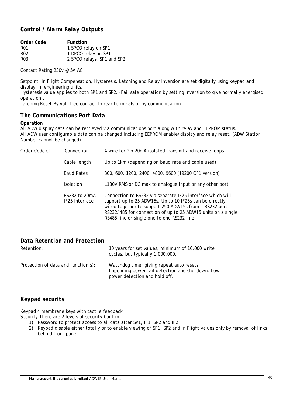## <span id="page-40-0"></span>*Control / Alarm Relay Outputs*

| <b>Function</b>            |
|----------------------------|
| 1 SPCO relay on SP1        |
| 1 DPCO relay on SP1        |
| 2 SPCO relays, SP1 and SP2 |
|                            |

Contact Rating 230v @ 5A AC

Setpoint, In Flight Compensation, Hysteresis, Latching and Relay Inversion are set digitally using keypad and display, in engineering units.

Hysteresis value applies to both SP1 and SP2. (Fail safe operation by setting inversion to give normally energised operation).

<span id="page-40-1"></span>Latching Reset By volt free contact to rear terminals or by communication

## *The Communications Port Data*

#### **Operation**

All ADW display data can be retrieved via communications port along with relay and EEPROM status. All ADW user configurable data can be changed including EEPROM enable/display and relay reset. (ADW Station Number cannot be changed).

| Order Code CP | Connection                      | 4 wire for 2 x 20mA isolated transmit and receive loops                                                                                                                                                                                                                                        |
|---------------|---------------------------------|------------------------------------------------------------------------------------------------------------------------------------------------------------------------------------------------------------------------------------------------------------------------------------------------|
|               | Cable length                    | Up to 1km (depending on baud rate and cable used)                                                                                                                                                                                                                                              |
|               | <b>Baud Rates</b>               | 300, 600, 1200, 2400, 4800, 9600 (19200 CP1 version)                                                                                                                                                                                                                                           |
|               | <b>Isolation</b>                | ±130V RMS or DC max to analogue input or any other port                                                                                                                                                                                                                                        |
|               | RS232 to 20mA<br>IF25 Interface | Connection to RS232 via separate IF25 interface which will<br>support up to 25 ADW15s. Up to 10 IF25s can be directly<br>wired together to support 250 ADW15s from 1 RS232 port<br>RS232/485 for connection of up to 25 ADW15 units on a single<br>RS485 line or single one to one RS232 line. |

## <span id="page-40-2"></span>*Data Retention and Protection*

| Retention:                          | 10 years for set values, minimum of 10,000 write<br>cycles, but typically 1,000,000.                                           |
|-------------------------------------|--------------------------------------------------------------------------------------------------------------------------------|
| Protection of data and function(s): | Watchdog timer giving repeat auto resets.<br>Impending power fail detection and shutdown. Low<br>power detection and hold off. |

## <span id="page-40-3"></span>*Keypad security*

Keypad 4 membrane keys with tactile feedback Security There are 2 levels of security built in:

- 1) Password to protect access to all data after SP1, IF1, SP2 and IF2
- 2) Keypad disable either totally or to enable viewing of SP1, SP2 and In Flight values only by removal of links behind front panel.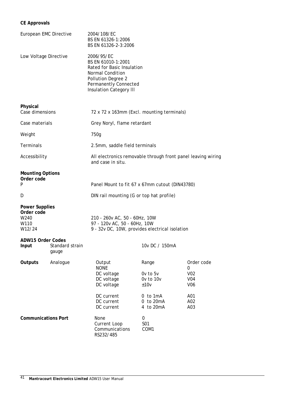## **CE Approvals**

| European EMC Directive                                        |                          | 2004/108/EC<br>BS EN 61326-1:2006<br>BS EN 61326-2-3:2006                                                                                                           |                                            |                                                  |
|---------------------------------------------------------------|--------------------------|---------------------------------------------------------------------------------------------------------------------------------------------------------------------|--------------------------------------------|--------------------------------------------------|
| Low Voltage Directive                                         |                          | 2006/95/EC<br>BS EN 61010-1:2001<br>Rated for Basic Insulation<br>Normal Condition<br>Pollution Degree 2<br>Permanently Connected<br><b>Insulation Category III</b> |                                            |                                                  |
| Physical<br>Case dimensions                                   |                          | 72 x 72 x 163mm (Excl. mounting terminals)                                                                                                                          |                                            |                                                  |
| Case materials                                                |                          | Grey Noryl, flame retardant                                                                                                                                         |                                            |                                                  |
| Weight                                                        |                          | 750g                                                                                                                                                                |                                            |                                                  |
| Terminals                                                     |                          | 2.5mm, saddle field terminals                                                                                                                                       |                                            |                                                  |
| Accessibility                                                 |                          | All electronics removable through front panel leaving wiring<br>and case in situ.                                                                                   |                                            |                                                  |
| <b>Mounting Options</b><br>Order code<br>P                    |                          | Panel Mount to fit 67 x 67mm cutout (DIN43780)                                                                                                                      |                                            |                                                  |
| D                                                             |                          | DIN rail mounting (G or top hat profile)                                                                                                                            |                                            |                                                  |
| <b>Power Supplies</b><br>Order code<br>W240<br>W110<br>W12/24 |                          | 210 - 260v AC, 50 - 60Hz, 10W<br>97 - 120v AC, 50 - 60Hz, 10W<br>9 - 32v DC, 10W, provides electrical isolation                                                     |                                            |                                                  |
| <b>ADW15 Order Codes</b><br>Input                             | Standard strain<br>gauge |                                                                                                                                                                     | 10v DC / 150mA                             |                                                  |
| Outputs                                                       | Analogue                 | Output<br><b>NONE</b><br>DC voltage<br>DC voltage<br>DC voltage                                                                                                     | Range<br>Ov to 5v<br>Ov to 10v<br>±10v     | Order code<br>0<br>V02<br>V04<br>V <sub>06</sub> |
|                                                               |                          | DC current<br>DC current<br>DC current                                                                                                                              | $0$ to $1mA$<br>$0$ to $20mA$<br>4 to 20mA | A01<br>A02<br>A03                                |
| <b>Communications Port</b>                                    |                          | None<br>Current Loop<br>Communications<br>RS232/485                                                                                                                 | 0<br>S01<br>COM1                           |                                                  |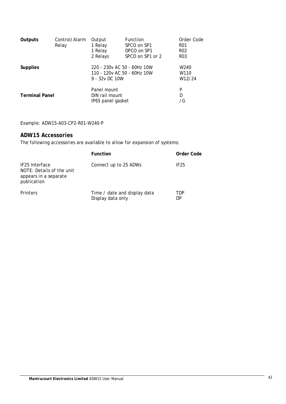| Outputs               | Control/Alarm<br>Relay | Output<br>1 Relay<br>1 Relay<br>2 Relays                                      | <b>Function</b><br>SPCO on SP1<br>DPCO on SP1<br>SPCO on SP1 or 2 | Order Code<br><b>R01</b><br>R <sub>02</sub><br>R <sub>0</sub> 3 |
|-----------------------|------------------------|-------------------------------------------------------------------------------|-------------------------------------------------------------------|-----------------------------------------------------------------|
| <b>Supplies</b>       |                        | 220 - 230y AC 50 - 60Hz 10W<br>110 - 120 v AC 50 - 60Hz 10W<br>9 - 32y DC 10W |                                                                   | W <sub>240</sub><br>W110<br>W12/24                              |
| <b>Terminal Panel</b> |                        | Panel mount<br>DIN rail mount<br>IP65 panel gasket                            |                                                                   | P<br>D<br>/G                                                    |

Example: ADW15-A03-CP2-R01-W240-P

## <span id="page-42-0"></span>*ADW15 Accessories*

The following accessories are available to allow for expansion of systems:

|                                                                                     | <b>Function</b>                                   | Order Code       |
|-------------------------------------------------------------------------------------|---------------------------------------------------|------------------|
| IF25 Interface<br>NOTE: Details of the unit<br>appears in a separate<br>publication | Connect up to 25 ADWs                             | IF <sub>25</sub> |
| Printers                                                                            | Time / date and display data<br>Display data only | TDP<br>DP        |